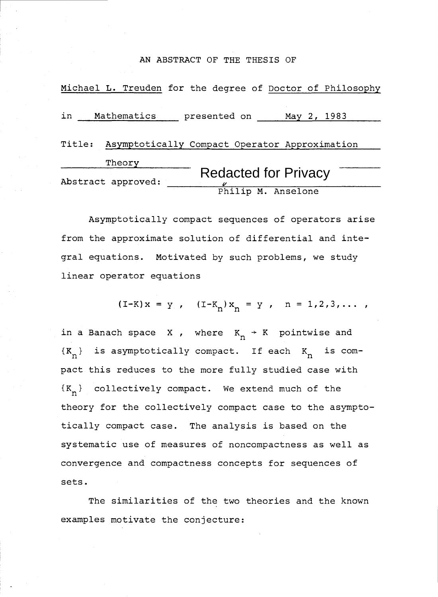#### AN ABSTRACT OF THE THESIS OF

|        | AN ABSTRACT OF THE THESIS OF                              |
|--------|-----------------------------------------------------------|
|        | Michael L. Treuden for the degree of Doctor of Philosophy |
| in     | Mathematics<br>presented on<br>May 2, 1983                |
| Title: | Asymptotically Compact Operator Approximation             |
|        | Theory<br><b>Redacted for Privacy</b>                     |
|        | Abstract approved:<br>Philip M. Anselone                  |

Asymptotically compact sequences of operators arise from the approximate solution of differential and integral equations. Motivated by such problems, we study linear operator equations

$$
(I-K)x = y
$$
,  $(I-K_n)x_n = y$ ,  $n = 1,2,3,...$ 

in a Banach space X, where  $K_n \rightarrow K$  pointwise and  $\{K_n\}$  is asymptotically compact. If each  $K_n$  is compact this reduces to the more fully studied case with  $\{K_n\}$  collectively compact. We extend much of the theory for the collectively compact case to the asymptotically compact case. The analysis is based on the systematic use of measures of noncompactness as well as convergence and compactness concepts for sequences of sets.

The similarities of the two theories and the known examples motivate the conjecture: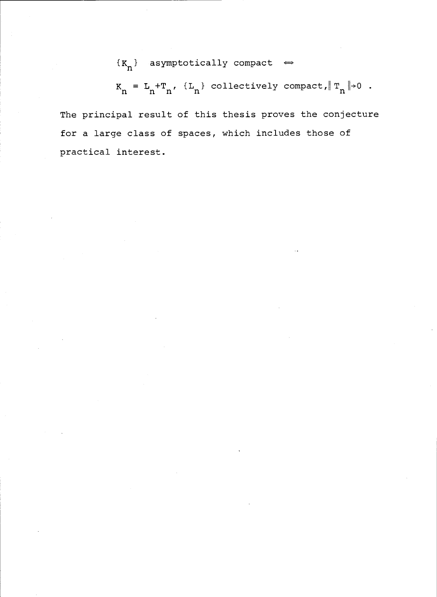# ${K_n}$  asymptotically compact  $\Leftrightarrow$

$$
K_n = L_n + T_n, \{L_n\} \text{ collectively compact}, \|T_n\| \to 0.
$$

The principal result of this thesis proves the conjecture for a large class of spaces, which includes those of practical interest.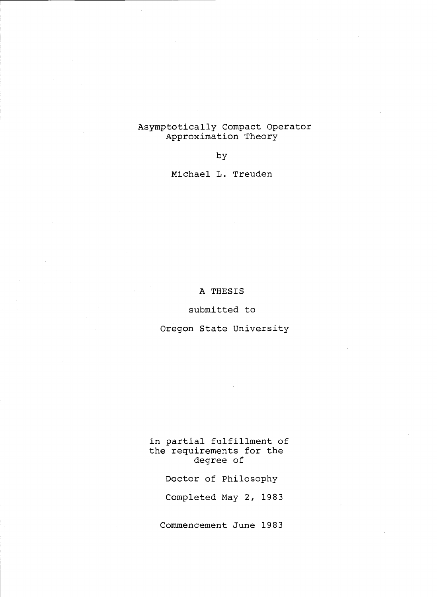### Asymptotically Compact Operator Approximation Theory

by

Michael L. Treuden

# A THESIS

#### submitted to

# Oregon State University

in partial fulfillment of the requirements for the degree of

Doctor of Philosophy

Completed May 2, 1983

Commencement June 1983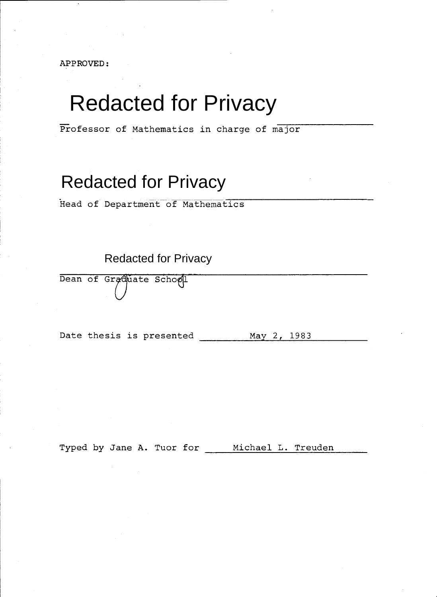APPROVED:

# Redacted for Privacy

Professor of Mathematics in charge of major

# Redacted for Privacy

Head of Department of Mathematics

Redacted for Privacy

Dean of Graduate School

Date thesis is presented May 2, 1983

Typed by Jane A. Tuor for \_\_\_\_ Michael L. Treuden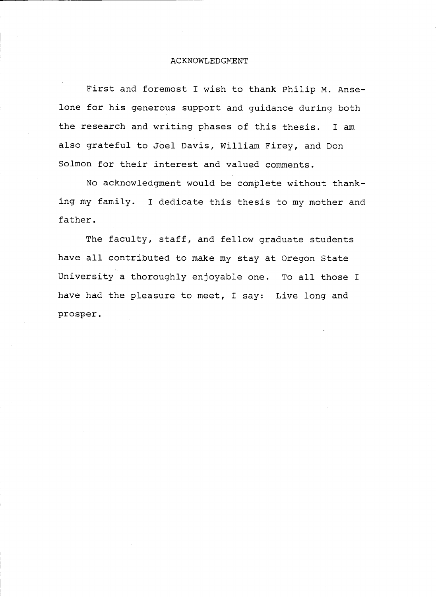#### ACKNOWLEDGMENT

First and foremost I wish to thank Philip M. Anselone for his generous support and guidance during both the research and writing phases of this thesis. I am also grateful to Joel Davis, William Firey, and Don Solmon for their interest and valued comments.

No acknowledgment would be complete without thanking my family. I dedicate this thesis to my mother and father.

The faculty, staff, and fellow graduate students have all contributed to make my stay at Oregon State University a thoroughly enjoyable one. To all those I have had the pleasure to meet, I say: Live long and prosper.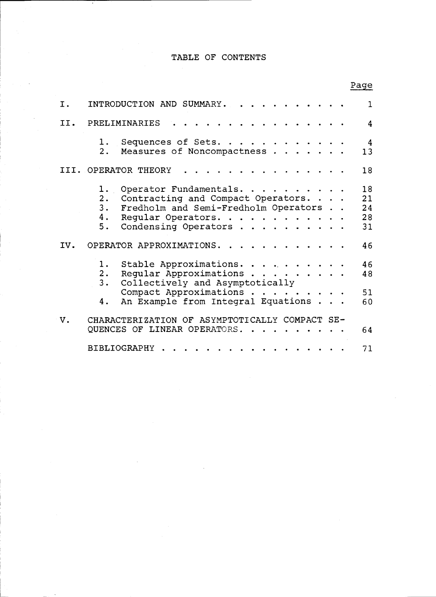# TABLE OF CONTENTS

|     |                                                                                                                                                                   | Page                       |
|-----|-------------------------------------------------------------------------------------------------------------------------------------------------------------------|----------------------------|
| Ι.  | INTRODUCTION AND SUMMARY.                                                                                                                                         | 1                          |
| II. | PRELIMINARIES                                                                                                                                                     | 4                          |
|     | 1. Sequences of Sets.<br>2. Measures of Noncompactness                                                                                                            | 4<br>13                    |
|     | III. OPERATOR THEORY                                                                                                                                              | 18                         |
|     | 1. Operator Fundamentals.<br>2. Contracting and Compact Operators.<br>3. Fredholm and Semi-Fredholm Operators<br>4. Regular Operators.<br>5. Condensing Operators | 18<br>21<br>24<br>28<br>31 |
| IV. | OPERATOR APPROXIMATIONS.                                                                                                                                          | 46                         |
|     | 1. Stable Approximations.<br>2. Regular Approximations<br>3.<br>Collectively and Asymptotically<br>Compact Approximations                                         | 46<br>48<br>51             |
|     | An Example from Integral Equations<br>4.                                                                                                                          | 60                         |
| v.  | CHARACTERIZATION OF ASYMPTOTICALLY COMPACT SE-<br>QUENCES OF LINEAR OPERATORS.                                                                                    | 64                         |
|     | BIBLIOGRAPHY                                                                                                                                                      | 71                         |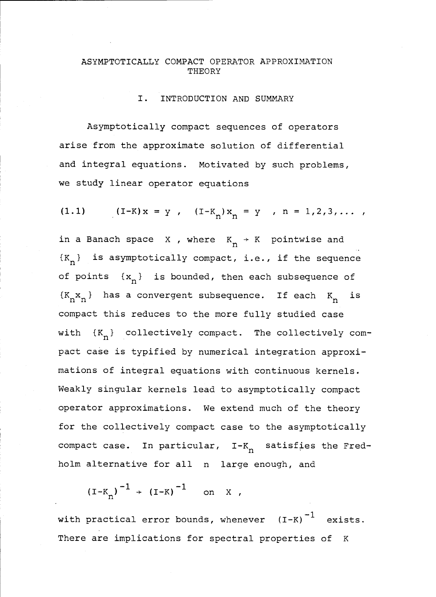## ASYMPTOTICALLY COMPACT OPERATOR APPROXIMATION **THEORY**

#### I. INTRODUCTION AND SUMMARY

Asymptotically compact sequences of operators arise from the approximate solution of differential and integral equations. Motivated by such problems, we study linear operator equations

(1.1) 
$$
(I-K)x = y
$$
,  $(I-K_n)x_n = y$ ,  $n = 1, 2, 3, ...$ 

in a Banach space X, where  $K_n \rightarrow K$  pointwise and  ${K_n}$  is asymptotically compact, i.e., if the sequence of points  $\{x_n\}$  is bounded, then each subsequence of  $\{K_{\bf n}{\bf x}_{\bf n}\}$  has a convergent subsequence. If each  $K_{\bf n}$  is compact this reduces to the more fully studied case with  $\{K_n\}$  collectively compact. The collectively compact case is typified by numerical integration approximations of integral equations with continuous kernels. Weakly singular kernels lead to asymptotically compact operator approximations. We extend much of the theory for the collectively compact case to the asymptotically compact case. In particular,  $I-K_n$  satisfies the Fredholm alternative for all n large enough, and

$$
(I-K_n)^{-1}
$$
 +  $(I-K)^{-1}$  on X,

with practical error bounds, whenever  $(I-K)^{-1}$  exists. There are implications for spectral properties of K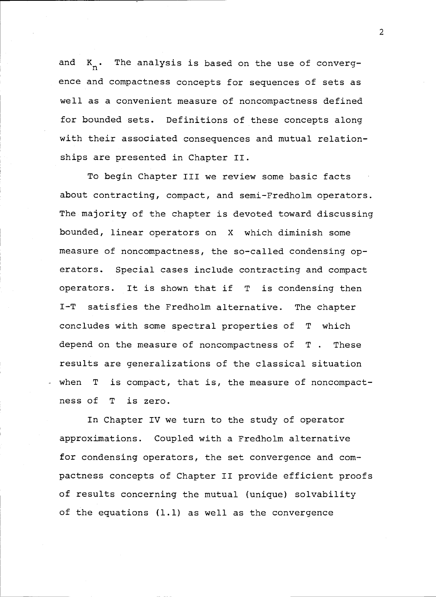and  $K_n$ . The analysis is based on the use of convergence and compactness concepts for sequences of sets as well as a convenient measure of noncompactness defined for bounded sets. Definitions of these concepts along with their associated consequences and mutual relationships are presented in Chapter II.

To begin Chapter III we review some basic facts about contracting, compact, and semi-Fredholm operators. The majority of the chapter is devoted toward discussing bounded, linear operators on X which diminish some measure of noncompactness, the so-called condensing operators. Special cases include contracting and compact operators. It is shown that if T is condensing then I-T satisfies the Fredholm alternative. The chapter concludes with some spectral properties of T which depend on the measure of noncompactness of T . These results are generalizations of the classical situation when T is compact, that is, the measure of noncompactness of T is zero.

In Chapter IV we turn to the study of operator approximations. Coupled with a Fredholm alternative for condensing operators, the set convergence and compactness concepts of Chapter II provide efficient proofs of results concerning the mutual (unique) solvability of the equations (1.1) as well as the convergence

2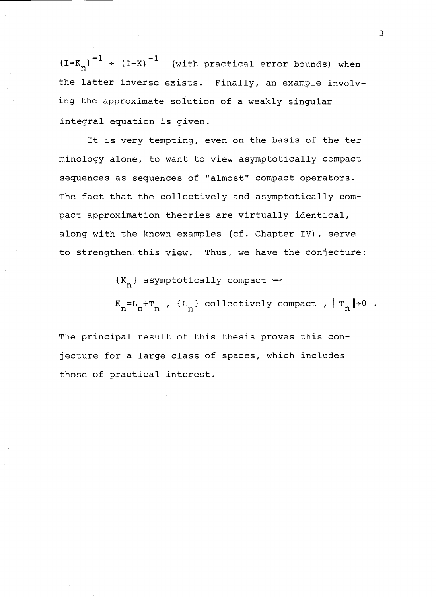${(I-K_n)}^{-1}$   $\rightarrow$   ${(I-K)}^{-1}$  (with practical error bounds) when the latter inverse exists. Finally, an example involving the approximate solution of a weakly singular integral equation is given.

It is very tempting, even on the basis of the terminology alone, to want to view asymptotically compact sequences as sequences of "almost" compact operators. The fact that the collectively and asymptotically compact approximation theories are virtually identical, along with the known examples (cf. Chapter IV), serve to strengthen this view. Thus, we have the conjecture:

 ${K_n}$  asymptotically compact  $\Leftrightarrow$ 

 $K_n=L_n+T_n$  ,  $\{L_n\}$  collectively compact ,  $||T_n||\rightarrow 0$  .

The principal result of this thesis proves this conjecture for a large class of spaces, which includes those of practical interest.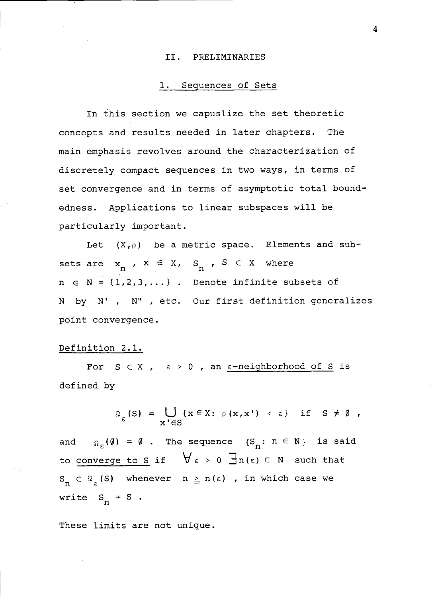#### II. PRELIMINARIES

#### 1. Sequences of Sets

In this section we capuslize the set theoretic concepts and results needed in later chapters. The main emphasis revolves around the characterization of discretely compact sequences in two ways, in terms of set convergence and in terms of asymptotic total boundedness. Applications to linear subspaces will be particularly important.

Let  $(X, \rho)$  be a metric space. Elements and subsets are  $x_n$ ,  $x \in X$ ,  $S_n$ ,  $S \subset X$  where  $n \in N = \{1, 2, 3, \dots\}$ . Denote infinite subsets of N by N', N", etc. Our first definition generalizes point convergence.

## Definition 2.1.

For  $S \subset X$ ,  $\varepsilon > 0$ , an  $\varepsilon$ -neighborhood of S is defined by

$$
\Omega_{\varepsilon}(S) = \bigcup_{x' \in S} \{x \in X : \rho(x, x') < \varepsilon\} \quad \text{if} \quad S \neq \emptyset,
$$

and  $\Omega_{\varepsilon}(\emptyset) = \emptyset$ . The sequence  $\{S_n : n \in N\}$  is said to converge to S if  $\forall \varepsilon > 0$   $\exists n(\varepsilon) \in N$  such that  $S_n \subset \Omega_{\varepsilon}(S)$  whenever  $n \geq n(\varepsilon)$  , in which case we write  $S_n \rightarrow S$ .

These limits are not unique.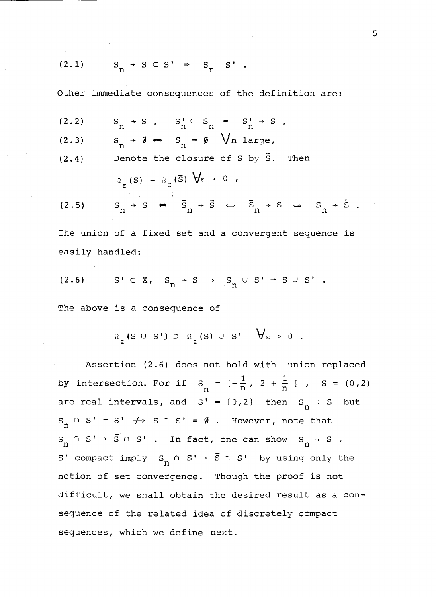$$
(2.1) \tS_n \tS \tS \tS' \tS \tS_n \tS'
$$

Other immediate consequences of the definition are:  
\n(2.2) 
$$
S_n \rightarrow S
$$
,  $S_n' \subset S_n \Rightarrow S_n' \rightarrow S$ ,  
\n(2.3)  $S_n \rightarrow \emptyset \Leftrightarrow S_n = \emptyset$   $\forall n$  large,  
\n(2.4) Denote the closure of S by  $\overline{S}$ . Then  
\n $\Omega_{\varepsilon}(S) = \Omega_{\varepsilon}(\overline{S}) \forall \varepsilon > 0$ ,  
\n(2.5)  $S_n \rightarrow S \Leftrightarrow \overline{S}_n \rightarrow \overline{S} \Leftrightarrow \overline{S}_n \rightarrow S \Leftrightarrow S_n \rightarrow \overline{S}$ .

The union of a fixed set and a convergent sequence is easily handled:

$$
(2.6) \qquad S' \subset X, \quad S_n \to S \Rightarrow S_n \cup S' \to S \cup S' .
$$

The above is a consequence of

$$
\Omega_{\varepsilon} (S \cup S') \supset \Omega_{\varepsilon} (S) \cup S' \quad \forall \varepsilon > 0 .
$$

Assertion (2.6) does not hold with union replaced by intersection. For if  $S_n = [-\frac{1}{n}, 2 + \frac{1}{n}]$ ,  $S = (0,2)$ are real intervals, and  $S' = \{0, 2\}$  then  $S_n \rightarrow S$  but  $S_n \cap S' = S' \rightarrow S \cap S' = \emptyset$ . However, note that  $S_n \cap S' \rightarrow \overline{S} \cap S'$ . In fact, one can show  $S_n \rightarrow S$ , S' compact imply  $S_n \cap S' \rightarrow \overline{S} \cap S'$  by using only the notion of set convergence. Though the proof is not difficult, we shall obtain the desired result as a consequence of the related idea of discretely compact sequences, which we define next.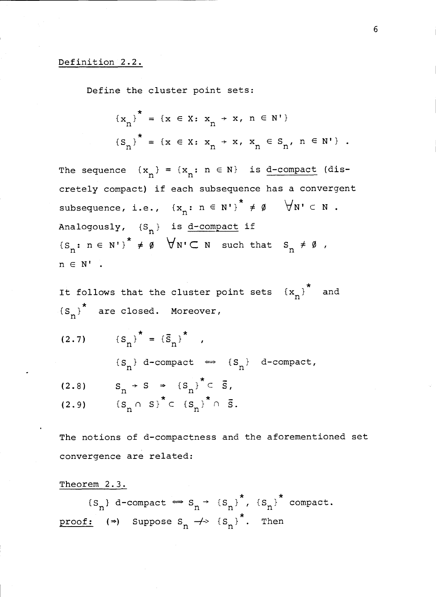# Definition 2.2.

Define the cluster point sets:

$$
\{x_{n}\}^{\star} = \{x \in X: x_{n} \to x, n \in N'\}
$$
  

$$
\{S_{n}\}^{\star} = \{x \in X: x_{n} \to x, x_{n} \in S_{n'}, n \in N'\}.
$$

The sequence  $\{x_n\} = \{x_n : n \in \mathbb{N}\}\$  is d-compact (discretely compact) if each subsequence has a convergent subsequence, i.e.,  $\{x_n : n \in N'\}^* \neq \emptyset$   $\forall N' \subset N$ . Analogously,  $\{S_n\}$  is <u>d-compact</u> if  ${S_n: n \in N' }$   $*\notin \emptyset$   $\forall N' \subset N$  such that  $S_n \neq \emptyset$ ,  $n \in N'$ .

It follows that the cluster point sets  ${x_n}^*$  and  $\{S_n\}^*$  are closed. Moreover,

 $(2.7)$   $\{S$  $\pm$   $\sqrt{2}$  $\{S_n\} = \{S_n\}$ ,

$$
\{S_n\} \text{ d-compact } \iff \{S_n\} \text{ d-compact,}
$$

(2.8) 
$$
S_n \rightarrow S \Rightarrow {S_n}^{\dagger} \subset \overline{S},
$$
  
(2.9) 
$$
{S_n \cap S}^{\dagger} \subset {S_n}^{\dagger} \cap \overline{S}.
$$

The notions of d-compactness and the aforementioned set convergence are related:

Theorem 2.3.

 ${S_n}$  d-compact  $\Leftrightarrow$   $S_n$   $\rightarrow$   ${S_n}$ <sup>\*</sup>,  ${S_n}$ <sup>\*</sup> compact. proof: ( $\Rightarrow$ ) Suppose S<sub>n</sub>  $\rightarrow$  (S<sub>n</sub>)<sup>\*</sup>. Then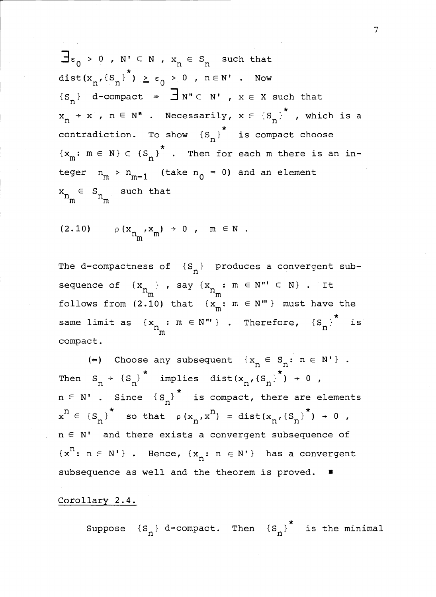$\exists \varepsilon_0 > 0$  ,  $N' \subset N$  ,  $x_n \in S_n$  such that dist( $x_n$ ,  $\{S_n\}$ )  $\geq \epsilon_0 > 0$ ,  $n \in \mathbb{N}$ . Now  ${S_n}$  d-compact  $\Rightarrow$   $\exists w^c \in N'$ ,  $x \in X$  such that  $x_n \rightarrow x$ ,  $n \in N$ " . Necessarily,  $x \in {S_n}$ <sup>\*</sup>, which is a contradiction. To show  $\{S_n\}^*$  is compact choose  ${x<sub>m</sub>: m \in N} \subset {S<sub>n</sub>}^*$ . Then for each m there is an integer  $n_m > n_{m-1}$  (take  $n_0 = 0$ ) and an element  $x_{n_m} \in S_{n_m}$  such that

$$
(2.10) \qquad \rho(x_{n_m},x_m) \rightarrow 0 \quad , \quad m \in \mathbb{N} \quad .
$$

The d-compactness of  $\{S_n\}$  produces a convergent subsequence of  $\{x_{n}\}$ , say  $\{x_{n} : m \in N'' \subset N\}$ . It follows from (2.10) that  $\{x_m: m \in N^m\}$  must have the same limit as  $\{x_{n} : m \in N^m\}$  . Therefore,  $\{S_n\}^*$  is compact.

(=) Choose any subsequent  $\{x_n \in S_n : n \in N'\}$ . Then  $S_n \rightarrow {S_n}^*$  implies dist( $x_n, {S_n}^* \rightarrow 0$ ,  $n \in N'$  . Since  ${S_n}^*$  is compact, there are elements  $x^n \in {S_n}^*$  so that  $p(x_n,x^n) = dist(x_n,{S_n}^*)$  + 0,  $n \in N'$  and there exists a convergent subsequence of  $\{x^n: n \in N'\}$ . Hence,  $\{x_n: n \in N'\}$  has a convergent subsequence as well and the theorem is proved.  $\blacksquare$ 

# Corollary 2.4.

Suppose  $\{S_n\}$  d-compact. Then  $\{S_n\}$ <sup>\*</sup> is the minimal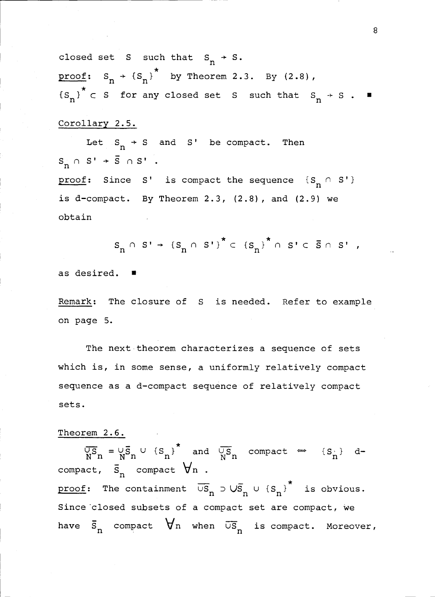closed set S such that  $S_n \rightarrow S$ . proof:  $S_n \rightarrow (S_n)^*$  by Theorem 2.3. By (2.8),  ${S_n}^* \subset S$  for any closed set S such that  $S_n \rightarrow S$ .

#### Corollary 2.5.

Let  $S_n \rightarrow S$  and S' be compact. Then  $S_n \cap S' + \overline{S} \cap S'$ .

proof: Since S' is compact the sequence  $\{S_n \cap S'\}$ is d-compact. By Theorem  $2.3$ ,  $(2.8)$ , and  $(2.9)$  we obtain

 $S_n \cap S' \rightarrow \{S_n \cap S'\}^* \subset \{S_n\}^* \cap S' \subset \overline{S} \cap S'$ 

as desired.

Remark: The closure of S is needed. Refer to example on page 5.

The next theorem characterizes a sequence of sets which is, in some sense, a uniformly relatively compact sequence as a d-compact sequence of relatively compact sets.

#### Theorem 2.6.

 $\overline{US}_{n} = \overline{US}_{n} \cup {S}_{n}$ <sup>\*</sup> and  $\overline{US}_{n}$  compact  $\Rightarrow {S}_{n}$  dcompact,  $\bar{s}_n$  compact  $\forall n$ . proof: The containment  $\overline{US}_n \supset US_{n} \cup {S_n}^*$  is obvious. Since closed subsets of a compact set are compact, we have  $\bar{s}_n$  compact  $\forall n$  when  $\bar{u}\bar{s}_n$  is compact. Moreover,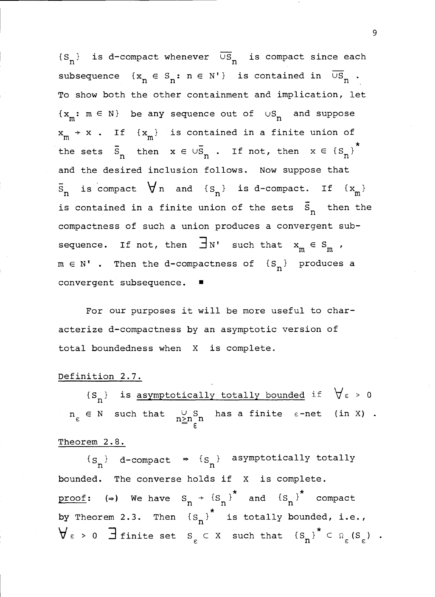${S_n}$  is d-compact whenever  $\overline{US_n}$  is compact since each subsequence  $\{x_n \in S_n : n \in N'\}$  is contained in  $\overline{\cup S}_n$ . To show both the other containment and implication, let  $\{x_m: m \in N\}$  be any sequence out of  $\cup S_n$  and suppose  $x_m \rightarrow x$  . If  $\{x_m\}$  is contained in a finite union of the sets  $\overline{S}_n$  then  $x \in \cup \overline{S}_n$ . If not, then  $x \in {\overline{S}_n}^*$ and the desired inclusion follows. Now suppose that  $\bar{s}_n$  is compact  $\forall n$  and  $\{s_n\}$  is d-compact. If  $\{x_m\}$ is contained in a finite union of the sets  $\overline{S}_n$  then the compactness of such a union produces a convergent subsequence. If not, then  $\exists$  N' such that  $x_{_{\text{m}}}$   $\in$  S<sub>m</sub> ,  $m \in N'$  . Then the d-compactness of  ${S_n}$  produces a convergent subsequence.

For our purposes it will be more useful to characterize d-compactness by an asymptotic version of total boundedness when X is complete.

#### Definition 2.7.

 ${S_n}$  is asymptotically totally bounded if  $\forall \varepsilon > 0$  $n_{\varepsilon} \in N$  such that  $\bigcup_{n \geq n_{\varepsilon}+n} S_n$  has a finite  $\varepsilon$ -net (in X).

# Theorem 2.8.

 ${s_n}$  d-compact  $\Rightarrow$   ${s_n}$  asymptotically totally bounded. The converse holds if X is complete. proof: (=) We have  $S_n \rightarrow {S_n}^*$  and  ${S_n}^*$  compact by Theorem 2.3. Then  ${S_n}^*$  is totally bounded, i.e.,  $\forall \varepsilon > 0$  definite set  $s_{\varepsilon} \in X$  such that  $\left\{ s_{n} \right\}^{*} \in \Omega_{\varepsilon} (s_{\varepsilon})$  .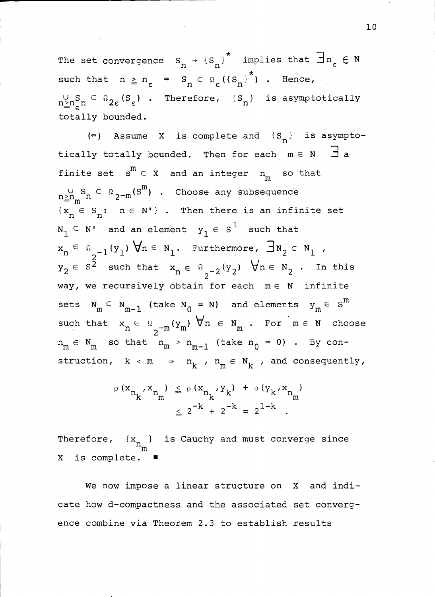The set convergence  $S_n \rightarrow \{S_n\}^*$  implies that  $\exists n_{\varepsilon} \in N$ such that  $n \ge n_{\varepsilon} \Rightarrow S_n \subset \Omega_{\varepsilon}({S_n)}^{\star}$  . Hence,  $\lim_{n \ge n}$   $\subseteq$   $\Omega$ <sub>2 $\epsilon$ </sub> (S<sub>e</sub>) . Therefore,  $\{S_n\}$  is asymptotically totally bounded.

(=) Assume X is complete and  ${S_n}$  is asymptotically totally bounded. Then for each  $m \in N$   $\exists$  a finite set  $\,$  s  $^{\circ}$   $\,$  C  $\,$  X  $\,$  and an integer  $\,$  n  $\,$  so that  $\lim_{m\geq n_{\text{min}}}$ S  $\subset$   $\Omega_{2-\text{m}}(\textbf{S}^{\text{m}})$  . Choose any subsequence  ${x_n \in S_n: n \in N' }$ . Then there is an infinite set  $N_1 \subset N'$  and an element  $Y_1 \in S^1$  such that  $x_n \in \Omega_{2^{-1}}(y_1)$   $\forall n \in N_1$ . Furthermore,  $\exists N_2 \subset N_1$  ,  $y_2 \in s^{\frac{5}{2}}$  such that  $x_n \in \Omega_{2^{-2}}(y_2)$   $\forall n \in N_2$ . In this 2 way, we recursively obtain for each  $m\in\,$  N infinite sets  $N_m \subset N_{m-1}$  (take  $N_0 = N$ ) and elements  $y_m \in S^m$ such that  $x_n \in \Omega_{2^{-m}}(y_m)$   $\forall n \in N_m$ . For  $m \in N$  choose 2  $m_m \in N_m$  so that  $n_m > n_{m-1}$  (take  $n_0 = 0$ ) . By construction,  $k < m \Rightarrow n_k$ ,  $n_m \in N_k$ , and consequently,

$$
\rho(x_{n_k}, x_{n_m}) \leq \rho(x_{n_k}, y_k) + \rho(y_k, x_{n_m})
$$
  

$$
\leq 2^{-k} + 2^{-k} = 2^{1-k}.
$$

Therefore,  $\{x_{n}\}\$  is Cauchy and must converge since X is complete.

We now impose a linear structure on X and indicate how d-compactness and the associated set convergence combine via Theorem 2.3 to establish results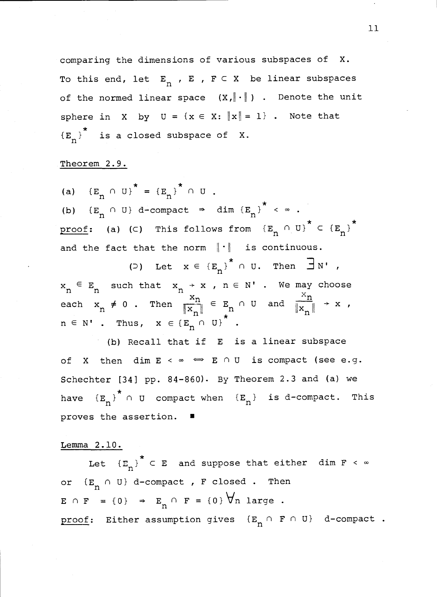comparing the dimensions of various subspaces of X. To this end, let  $E_n$ ,  $E$ ,  $F \subset X$  be linear subspaces of the normed linear space  $(X, \|\cdot\|)$  . Denote the unit sphere in X by  $U = \{x \in X: ||x|| = 1\}$ . Note that  ${E_n}^*$  is a closed subspace of X.

# Theorem 2.9.

(a)  ${E_n \cap U}^* = {E_n}^* \cap U$ . (b)  ${E_n \cap U}$  d-compact  $\Rightarrow$  dim  ${E_n}^* < \infty$ . proof: (a) (c) This follows from  ${E_n \cap U}^* \subset {E_n}^*$ and the fact that the norm  $\|\cdot\|$  is continuous.

(D) Let  $x \in {E_n}^*$  ou. Then  $\exists N'$ ,  $x_n \in E_n$  such that  $x_n \to x$ ,  $n \in N'$ . We may choose  $\begin{array}{ccccccc}\n\ddots_{n} & \ddots & \ddots & \ddots & \ddots & \ddots \\
\end{array}$ <br>
each  $x_{n} \neq 0$ . Then  $\frac{x_{n}}{\|x^{n}\|} \in E_{n} \cap U$  and  $\frac{x_{n}}{\|x^{n}\|} \to x$ ,  $n \parallel$  $n \in N'$  . Thus,  $x \in \{E_n \cap U\}^*$ .

(b) Recall that if E is a linear subspace of X then dim  $E \leq \infty \iff E \cap U$  is compact (see e.g. Schechter [34] pp. 84-860). By Theorem 2.3 and (a) we have  ${E_n}^*$   $\cap$  U compact when  ${E_n}$  is d-compact. This proves the assertion.

# Lemma 2.10.

Let  $(E_n)$ <sup>\*</sup>  $\subset$  E and suppose that either dim  $F \sim \infty$ or  ${E_n \cap U}$  d-compact, F closed. Then  $E \cap F = \{0\} \Rightarrow E_n \cap F = \{0\} \n\forall n \text{ large}.$ proof: Either assumption gives  $\{E_n \cap F \cap U\}$  d-compact.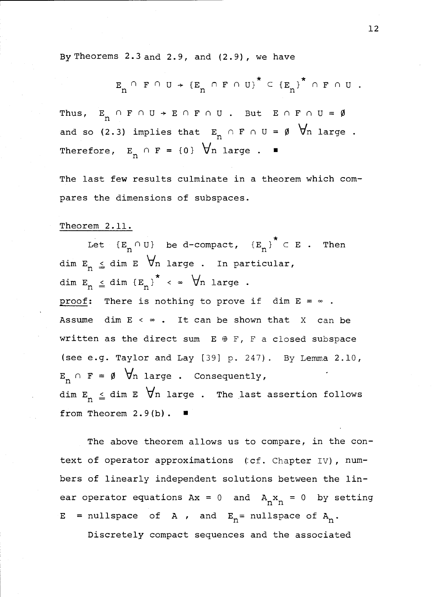By Theorems 2.3 and 2.9 , and (2.9) , we have

$$
E_n \cap F \cap U \rightarrow \{E_n \cap F \cap U\}^* \subset \{E_n\}^* \cap F \cap U.
$$

Thus,  $E_n \cap F \cap U \rightarrow E \cap F \cap U$ . But  $E \cap F \cap U = \emptyset$ and so (2.3) implies that  $E_n \cap F \cap U = \emptyset$   $\forall n$  large. Therefore,  $E_n \cap F = \{0\}$   $\forall n$  large.  $\blacksquare$ 

The last few results culminate in a theorem which compares the dimensions of subspaces.

#### Theorem 2.11.

Let  ${E_n \cap U}$  be d-compact,  ${E_n}^* \subset E$ . Then dim  $E_n \leq$  dim E  $\forall n$  large . In particular, dim  $E_n \leq dim \{E_n\}^* \leq \infty$   $\forall n$  large. proof: There is nothing to prove if  $\dim E = \infty$ . Assume dim  $E < \infty$ . It can be shown that X can be written as the direct sum  $E \oplus F$ , F a closed subspace (see e.g. Taylor and Lay [39] p. 247). By Lemma 2.10,  $E_n \cap F = \emptyset$   $\forall n$  large. Consequently, dim  $\texttt{E}_{_{\bf n}} \ \texttt{\underline{\scriptscriptstyle{}}}}$  dim  $\texttt{E}\ \ \ \forall \texttt{n}$  large . The last assertion follows from Theorem 2.9(b).

The above theorem allows us to compare, in the context of operator approximations (:cf. Chapter IV), numbers of linearly independent solutions between the linear operator equations  $Ax = 0$  and  $A_n x_n = 0$  by setting  $E = nullspace$  of A, and  $E_n = nullspace$  of A.

Discretely compact sequences and the associated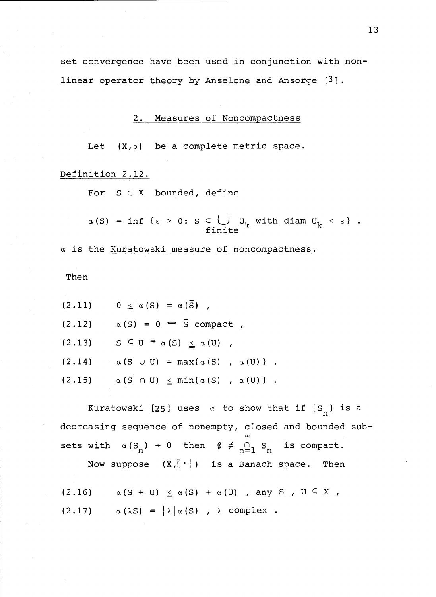set convergence have been used in conjunction with nonlinear operator theory by Anselone and Ansorge [3].

2. Measures of Noncompactness

Let  $(X, \rho)$  be a complete metric space.

Definition 2.12.

For  $S \subset X$  bounded, define

 $\alpha(S) = \inf \{\varepsilon > 0: S \subset \bigcup_{f \in \text{finite}} U_K \text{ with } \text{diam } U_K \leq \varepsilon\}.$ 

a is the Kuratowski measure of noncompactness.

Then

|        | $(2.11)$ $0 \le \alpha(S) = \alpha(\bar{S})$ ,         |
|--------|--------------------------------------------------------|
| (2.12) | $\alpha(S) = 0 \Leftrightarrow \overline{S}$ compact,  |
| (2.13) | $S \subseteq U \Rightarrow \alpha(S) \leq \alpha(U)$ , |
| (2.14) | $\alpha(S \cup U) = \max\{\alpha(S), \alpha(U)\},$     |
| (2.15) | $\alpha(S \cap U) \leq min{\alpha(S) , \alpha(U)}$ .   |

Kuratowski [25] uses  $\alpha$  to show that if  $\{S_n\}$  is a decreasing sequence of nonempty, closed and bounded sub- $\infty$  and  $\infty$ sets with  $\alpha(S_n) \rightarrow 0$  then  $\emptyset \neq \bigcap_{n=1}^S S_n$  is compact. Now suppose  $(X,||\cdot||)$  is a Banach space. Then

(2.16)  $\alpha(S + U) \leq \alpha(S) + \alpha(U)$ , any S,  $U \subseteq X$ , (2.17)  $\alpha(\lambda S) = |\lambda| \alpha(S)$ ,  $\lambda$  complex.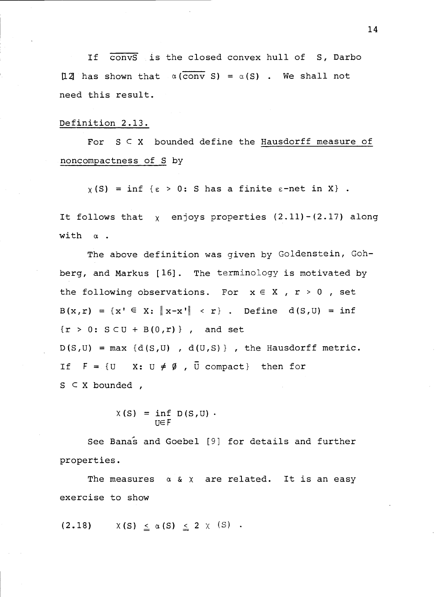If convS is the closed convex hull of S, Darbo 12 has shown that  $\alpha$  (conv S) =  $\alpha$  (S). We shall not need this result.

#### Definition 2.13.

For  $S \subseteq X$  bounded define the Hausdorff measure of noncompactness of S by

 $\chi(S)$  = inf { $\varepsilon > 0$ : S has a finite  $\varepsilon$ -net in X}.

It follows that  $\chi$  enjoys properties  $(2.11)-(2.17)$  along with a.

The above definition was given by Goldenstein, Gohberg, and Markus [16]. The terminology is motivated by the following observations. For  $x \in X$ ,  $r > 0$ , set  $B(x,r) = \{x' \in X: \Vert x-x' \Vert \leq r\}$ . Define  $d(S,U) = inf$  ${r > 0: S \subset U + B(0,r)}$ , and set  $D(S,U) = max \{d(S,U), d(U,S)\}$ , the Hausdorff metric. If  $F = \{U \mid X: U \neq \emptyset, \overline{U} \text{ compact}\}\$  then for  $S \subset X$  bounded,

$$
X(S) = \inf_{U \in F} D(S, U) .
$$

See Banas and Goebel [9] for details and further properties.

The measures  $\alpha \& \chi$  are related. It is an easy exercise to show

$$
(2.18) \qquad \chi(S) \leq \alpha(S) \leq 2 \times (S) \quad .
$$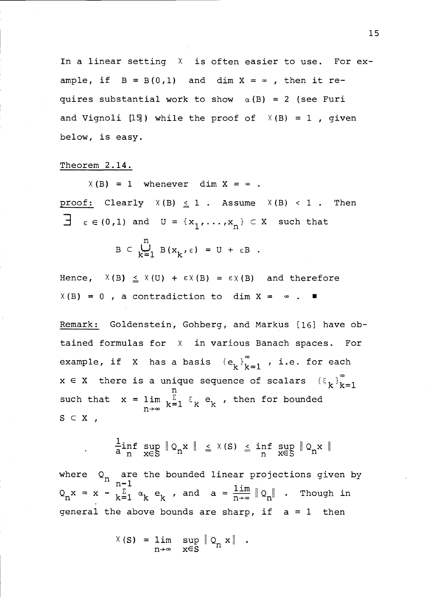In a linear setting  $X$  is often easier to use. For example, if  $B = B(0,1)$  and dim  $X = \infty$ , then it requires substantial work to show  $\alpha(B) = 2$  (see Furi and Vignoli [15]) while the proof of  $X(B) = 1$ , given below, is easy.

### Theorem 2.14.

 $X(B) = 1$  whenever dim  $X = \infty$ . proof: Clearly  $X(B) \leq 1$ . Assume  $X(B) < 1$ . Then  $\exists \varepsilon \in (0,1)$  and  $U = \{x_1, \ldots, x_n\} \subset X$  such that  $B \subset \bigcup_{k=1}^{n} B(x_k, \varepsilon) = U + \varepsilon B$ .

Hence,  $X(B) \leq X(U) + \varepsilon X(B) = \varepsilon X(B)$  and therefore  $X(B) = 0$ , a contradiction to dim  $X = \infty$ .

Remark: Goldenstein, Gohberg, and Markus [16] have obtained formulas for <sup>X</sup> in various Banach spaces. For example, if X has a basis  ${e_k}_{k=1}^{\infty}$ , i.e. for each  $x \in X$  there is a unique sequence of scalars  $\{\xi_k\}_{k=1}^{\infty}$ such that  $x = \lim_{n \to \infty} \frac{1}{k} \sum_{k=1}^{n} \xi_k e_k$ , then for bounded  $S \subset X$ ,

$$
\frac{\text{L}}{\text{a} \text{ } n} \text{ sup } \|\text{ } \mathbb{Q}_n \text{x} \|\ \leq \text{ } \chi(\text{ } \text{ } \text{s} \text{)} \leq \text{ inf } \text{ } \sup_{\text{ } \text{ } \text{ } \text{ } n} \|\text{ } \mathbb{Q}_n \text{x} \|\
$$

where  $Q_n$  are the bounded linear projections given by  $n-1$  $Q_n x = x - \sum_{k=1}^{n} \alpha_k e_k$ , and  $a = \frac{\lim_{n \to \infty}}{\lim_{n \to \infty}} Q_n$ . Though in general the above bounds are sharp, if  $a = 1$  then

$$
\chi(S) = \lim_{n \to \infty} \sup_{x \in S} \| Q_n x \|.
$$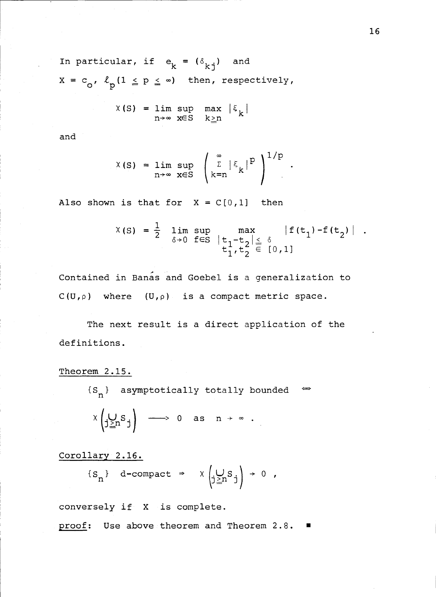In particular, if  $e_k = (\delta_{ki})$  and  $X = c_0$ ,  $\ell_p (1 \le p \le \infty)$  then, respectively,

$$
X(S) = \lim_{n \to \infty} \sup_{x \in S} \max_{k \geq n} |\xi_k|
$$

and

$$
X(S) = \lim_{n \to \infty} \sup_{x \in S} \left( \sum_{k=n}^{\infty} |\xi_k|^p \right)^{1/p}.
$$

Also shown is that for  $X = C[0,1]$  then

$$
\begin{array}{rcl}\n1 & \text{is that for} & X = C[0,1] & \text{then} \\
X(S) & = & \frac{1}{2} \lim_{\delta \to 0} \sup_{f \in S} \max_{\begin{array}{c} t_1 - t_2 | \leq \delta \\ t_1, t_2 \end{array}} |f(t_1) - f(t_2)| .\n\end{array}
$$

Contained in Banas and Goebel is a generalization to  $C(U,\rho)$  where  $(U,\rho)$  is a compact metric space.

The next result is a direct application of the definitions.

Theorem 2.15.

 ${S_n}$  asymptotically totally bounded  $\Rightarrow$ 

$$
\times \left( \bigcup_{j\geq n} S_j \right) \longrightarrow 0 \text{ as } n \to \infty.
$$

Corollary 2.16.

$$
\{s_n\} \quad d\text{-compact} \Rightarrow \quad x \left(\bigcup_{j\geq n} s_j\right) \to 0 \quad ,
$$

conversely if X is complete.

proof: Use above theorem and Theorem 2.8.  $\blacksquare$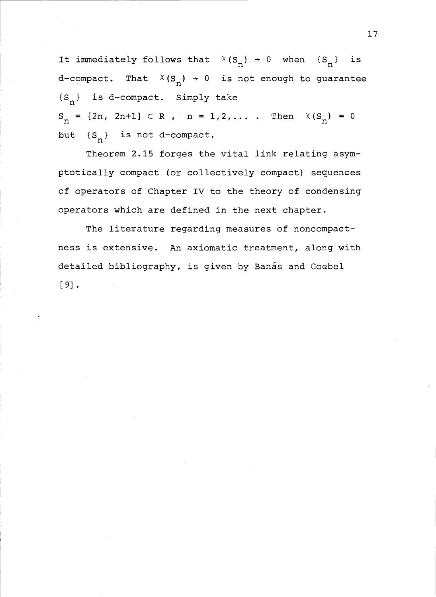It immediately follows that  $X(S_n) \rightarrow 0$  when  $\{S_n\}$  is d-compact. That  $X(S_n) \rightarrow 0$  is not enough to guarantee  ${S_n}$  is d-compact. Simply take  $S_n = [2n, 2n+1] \subset R$ ,  $n = 1, 2, ...$  Then  $X(S_n) = 0$ but  ${S_n}$  is not d-compact.

Theorem 2.15 forges the vital link relating asymptotically compact (or collectively compact) sequences of operators of Chapter IV to the theory of condensing operators which are defined in the next chapter.

The literature regarding measures of noncompactness is extensive. An axiomatic treatment, along with detailed bibliography, is given by Banas and Goebel [9].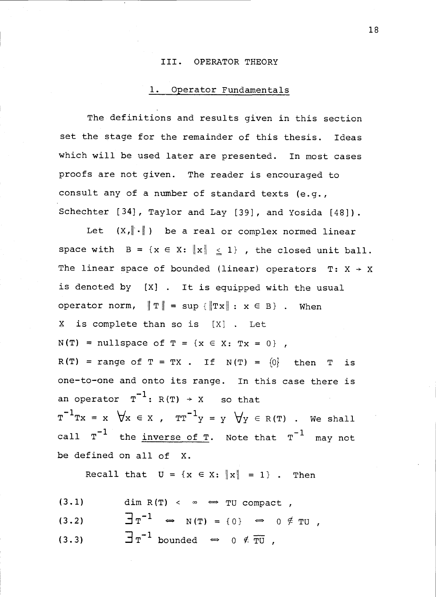#### III. OPERATOR THEORY

# 1. Operator Fundamentals

The definitions and results given in this section set the stage for the remainder of this thesis. Ideas which will be used later are presented. In most cases proofs are not given. The reader is encouraged to consult any of a number of standard texts (e.g., Schechter [34], Taylor and Lay [39], and Yosida [48]).

Let  $(X, \|\cdot\|)$  be a real or complex normed linear space with  $B = \{x \in X: ||x|| \leq 1\}$ , the closed unit ball. The linear space of bounded (linear) operators T:  $X \rightarrow X$ is denoted by [X] . It is equipped with the usual operator norm,  $\|\mathbf{T}\| = \sup \{\|\mathbf{T} \mathbf{x}\| : \mathbf{x} \in \mathbf{B}\}\$ . When X is complete than so is [X] . Let  $N(T)$  = nullspace of  $T = \{x \in X: Tx = 0\}$ ,  $R(T)$  = range of T = TX . If N(T) =  $\{0\}$  then T is one-to-one and onto its range. In this case there is an operator  $T^{-1}$ : R(T)  $\rightarrow$  X so that  $T^{-1}Tx = x \quad \forall x \in X$  ,  $TT^{-1}y = y \quad \forall y \in R(T)$  . We shall call  $T^{-1}$  the inverse of T. Note that  $T^{-1}$  may not be defined on all of X.

Recall that  $U = \{x \in X: ||x|| = 1\}$ . Then

- (3.1) dim R(T) <  $\infty$   $\Rightarrow$  TU compact,
- (3.2)  $\qquad \qquad \exists \tau^{-1} \iff N(T) = \{0\} \iff 0 \notin TU$ ,
- (3.3)  $\overline{\exists} \tau^{-1}$  bounded  $\Rightarrow$  0  $\neq \overline{\tau} \overline{U}$ ,

18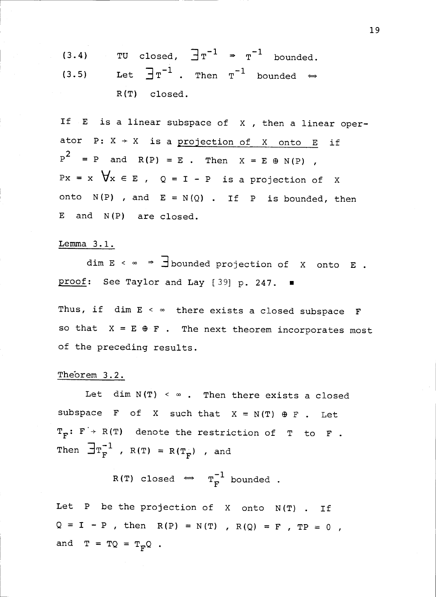(3.4) TU closed, 
$$
\exists \tau^{-1} \Rightarrow \tau^{-1}
$$
 bounded.  
(3.5) Let  $\exists \tau^{-1}$ . Then  $\tau^{-1}$  bounded  $\Leftrightarrow$   
R(T) closed.

If  $E$  is a linear subspace of  $X$ , then a linear operator P:  $X \rightarrow X$  is a projection of X onto E if  $P^2 = P$  and  $R(P) = E$ . Then  $X = E \oplus N(P)$ ,  $Px = x \quad \forall x \in E$ ,  $Q = I - P$  is a projection of X onto  $N(P)$  , and  $E = N(Q)$  . If P is bounded, then E and N(P) are closed.

#### Lemma 3.1.

dim  $E \leq \infty \Rightarrow$   $\exists$  bounded projection of X onto E. proof: See Taylor and Lay [39] p. 247.

Thus, if dim  $E \leq \infty$  there exists a closed subspace F so that  $X = E \oplus F$ . The next theorem incorporates most of the preceding results.

# Theorem 3.2.

Let dim  $N(T) < \infty$ . Then there exists a closed subspace F of X such that  $X = N(T) \oplus F$ . Let  $T_F: F \rightarrow R(T)$  denote the restriction of T to F. Then  $\exists \mathbf{T}_{\mathbf{F}}^{-1}$ ,  $\mathbf{R}(\mathbf{T}) = \mathbf{R}(\mathbf{T}_{\mathbf{F}})$ , and

$$
R(T) closed \Leftrightarrow T_F^{-1} bounded.
$$

Let <sup>P</sup> be the projection of X onto N(T) . If  $Q = I - P$ , then  $R(P) = N(T)$ ,  $R(Q) = F$ ,  $TP = 0$ , and  $T = TQ = T_pQ$ .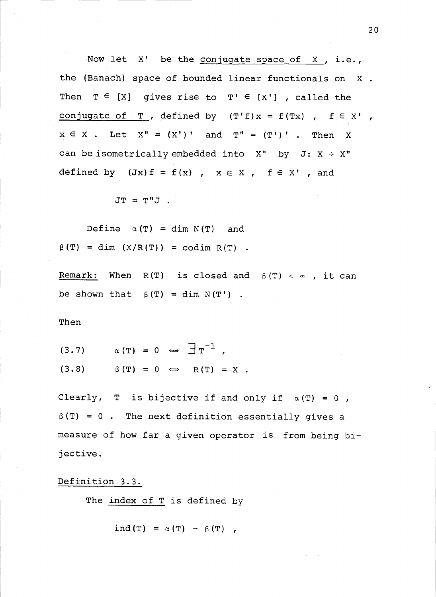Now let X' be the conjugate space of X , i.e., the (Banach) space of bounded linear functionals on X . Then  $T \in [X]$  gives rise to  $T' \in [X']$ , called the conjugate of  $T$  , defined by  $(T'f)x = f(Tx)$  ,  $f \in X'$  ,  $x \in X$ . Let  $X'' = (X')'$  and  $T'' = (T')'$ . Then X can be isometrically embedded into  $X''$  by J:  $X \rightarrow X''$ defined by  $(Jx) f = f(x)$ ,  $x \in X$ ,  $f \in X'$ , and

 $JT = T"J$ .

Define  $\alpha(T) = \dim N(T)$  and  $\beta(T) = \dim (X/R(T)) = \text{codim } R(T)$ .

Remark: When R(T) is closed and  $\beta(T) < \infty$ , it can be shown that  $\beta(T) = \dim N(T')$ .

Then

$$
(3.7) \qquad \alpha(T) = 0 \iff \exists T^{-1},
$$

 $(3.8)$   $\beta$  (T) = 0  $\implies$  R(T) = X.

Clearly, T is bijective if and only if  $\alpha(T) = 0$ ,  $\beta(T) = 0$ . The next definition essentially gives a measure of how far a given operator is from being bijective.

Definition 3.3.

The index of T is defined by

ind(T) =  $\alpha$ (T) -  $\beta$ (T) ,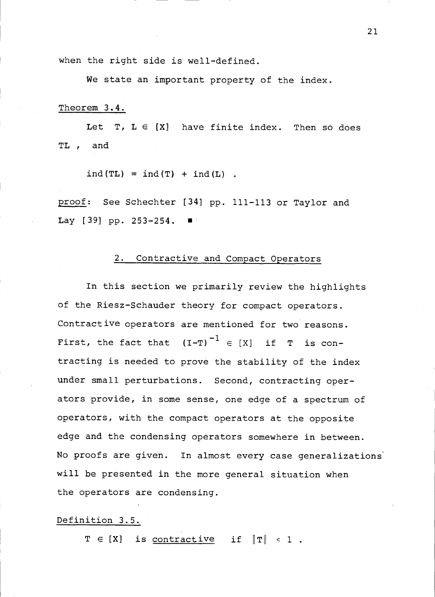when the right side is well-defined.

We state an important property of the index.

#### Theorem 3.4.

Let T,  $L \in [X]$  have finite index. Then so does TL , and

 $ind(TL) = ind(T) + ind(L)$ .

proof: See Schechter [34] pp. 111-113 or Taylor and Lay  $[39]$  pp.  $253-254$ .

#### 2. Contractive and Compact Operators

In this section we primarily review the highlights of the Riesz-Schauder theory for compact operators. Contractive operators are mentioned for two reasons. First, the fact that  $(I-T)^{-1} \in [X]$  if T is contracting is needed to prove the stability of the index under small perturbations. Second, contracting operators provide, in some sense, one edge of a spectrum of operators, with the compact operators at the opposite edge and the condensing operators somewhere in between. No proofs are given. In almost every case generalizations' will be presented in the more general situation when the operators are condensing.

#### Definition 3.5.

 $T \in [X]$  is contractive if  $\|T\| < 1$ .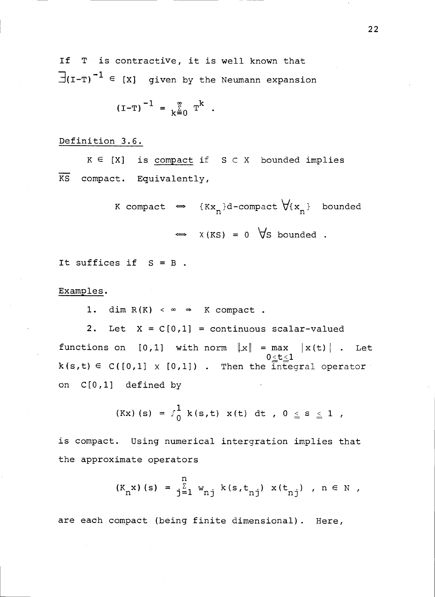If T is contractive, it is well known that  $\exists$ (I-T)<sup>-1</sup>  $\in$  [X] given by the Neumann expansion

$$
(I-T)^{-1} = \sum_{k=0}^{\infty} T^{k}
$$
.

#### Definition 3.6.

 $K \in [X]$  is compact if  $S \subset X$  bounded implies  $\frac{1}{10}$  compact. KS compact. Equivalently,

> K compact  $\iff$  {Kx<sub>n</sub>}d-compact  $\forall$ {x<sub>n</sub>} bounded  $\Rightarrow$   $X(KS) = 0 \quad \forall S \text{ bounded}.$

It suffices if  $S = B$ .

Examples.

1. dim  $R(K) < \infty \Rightarrow K$  compact.

2. Let  $X = C[0,1] =$  continuous scalar-valued functions on [0,1] with norm  $\|x\|$  = max  $|x(t)|$ . Let  $k(s,t) \in C([0,1] \times [0,1])$  . Then the integral operator on C[0,1] defined by

$$
(Kx) (s) = f_0^1 k(s,t) x(t) dt, 0 \le s \le 1,
$$

is compact. Using numerical intergration implies that the approximate operators

$$
(K_n x) (s) = \frac{n}{j-1} w_{nj} k(s, t_{nj}) x(t_{nj}), n \in N
$$
,

are each compact (being finite dimensional). Here,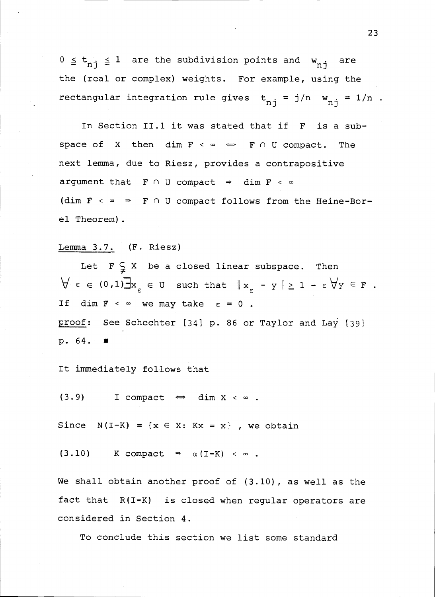$0 \le t_{n,j} \le 1$  are the subdivision points and  $w_{n,j}$  are the (real or complex) weights. For example, using the rectangular integration rule gives  $t_{n,j} = j/n$   $w_{n,j} = 1/n$ .

In Section 11.1 it was stated that if F is a subspace of X then dim  $F \leq \infty \iff F \cap U$  compact. The next lemma, due to Riesz, provides a contrapositive argument that  $F \cap U$  compact  $\Rightarrow$  dim  $F \leq \infty$ (dim  $F \sim \infty \Rightarrow F \cap U$  compact follows from the Heine-Borel Theorem).

# Lemma 3.7. (F. Riesz)

Let  $F \subsetneq X$  be a closed linear subspace. Then  $\forall \varepsilon \in (0,1)$  $\exists x_{\varepsilon} \in U$  such that  $\|x_{\varepsilon} - y\| \ge 1 - \varepsilon \forall y \in F$ . If dim  $F < \infty$  we may take  $\varepsilon = 0$ . proof: See Schechter [34] p. 86 or Taylor and Lay [39] p. 64.

It immediately follows that

(3.9) I compact  $\iff$  dim X <  $\infty$ .

Since  $N(I-K) = \{x \in X: Kx = x\}$ , we obtain

 $(3.10)$  K compact  $\Rightarrow$   $\alpha(I-K) < \infty$ .

We shall obtain another proof of (3.10), as well as the fact that R(I-K) is closed when regular operators are considered in Section 4.

To conclude this section we list some standard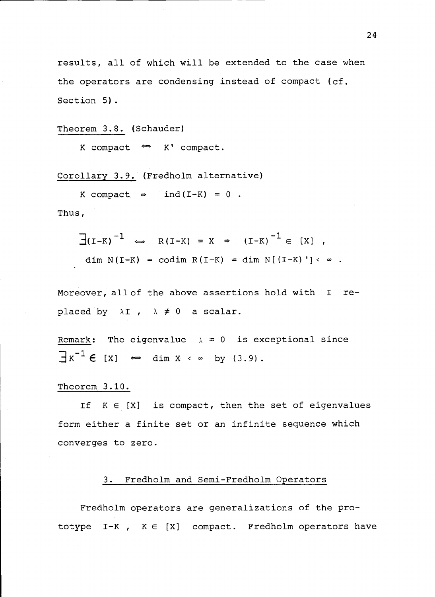results, all of which will be extended to the case when the operators are condensing instead of compact (cf. Section 5).

Theorem 3.8. (Schauder)

K compact  $\Leftrightarrow$  K' compact.

Corollary 3.9. (Fredholm alternative)

K compact  $\Rightarrow$  ind(I-K) = 0.

Thus,

$$
\frac{1}{d}(\mathbf{I}-\mathbf{K})^{-1} \iff \mathbf{R}(\mathbf{I}-\mathbf{K}) = \mathbf{X} \Rightarrow (\mathbf{I}-\mathbf{K})^{-1} \in [\mathbf{X}],
$$
\n
$$
\dim \mathbf{N}(\mathbf{I}-\mathbf{K}) = \text{codim } \mathbf{R}(\mathbf{I}-\mathbf{K}) = \dim \mathbf{N}[(\mathbf{I}-\mathbf{K})'] < \infty.
$$

Moreover, all of the above assertions hold with <sup>I</sup> replaced by  $\lambda I$ ,  $\lambda \neq 0$  a scalar.

Remark: The eigenvalue  $\lambda = 0$  is exceptional since  $\exists x^{-1} \in [x] \Leftrightarrow \dim x < \infty$  by (3.9).

#### Theorem 3.10.

If  $K \in [X]$  is compact, then the set of eigenvalues form either a finite set or an infinite sequence which converges to zero.

#### 3. Fredholm and Semi-Fredholm Operators

Fredholm operators are generalizations of the prototype  $I-K$ ,  $K \in [X]$  compact. Fredholm operators have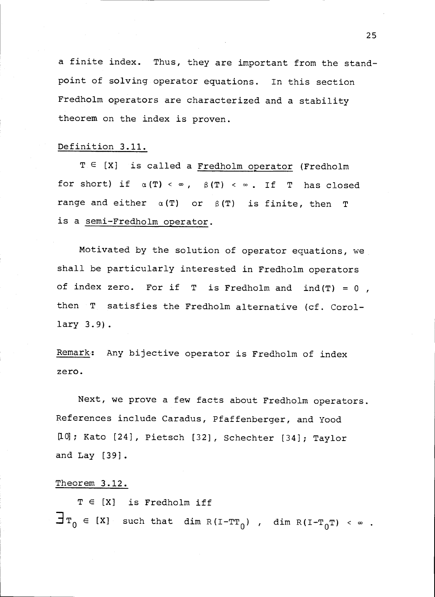a finite index. Thus, they are important from the standpoint of solving operator equations. In this section Fredholm operators are characterized and a stability theorem on the index is proven.

## Definition 3.11.

 $T \in [X]$  is called a Fredholm operator (Fredholm for short) if  $\alpha(T) < \infty$ ,  $\beta(T) < \infty$ . If T has closed range and either  $\alpha(T)$  or  $\beta(T)$  is finite, then T is a semi-Fredholm operator.

Motivated by the solution of operator equations, we shall be particularly interested in Fredholm operators of index zero. For if  $T$  is Fredholm and ind(T) = 0, then T satisfies the Fredholm alternative (cf. Corollary 3.9).

Remark: Any bijective operator is Fredholm of index zero.

Next, we prove a few facts about Fredholm operators. References include Caradus, Pfaffenberger, and Yood [10]; Kato [24], Pietsch [32], Schechter [34]; Taylor and Lay [39].

#### Theorem 3.12.

 $T \in [X]$  is Fredholm iff  $\texttt{T}_{0}$   $\in$  [X] such that dim R(I-T $\texttt{T}_{0}$ ) , dim R(I-T $_{0}$ T) <  $\in$  .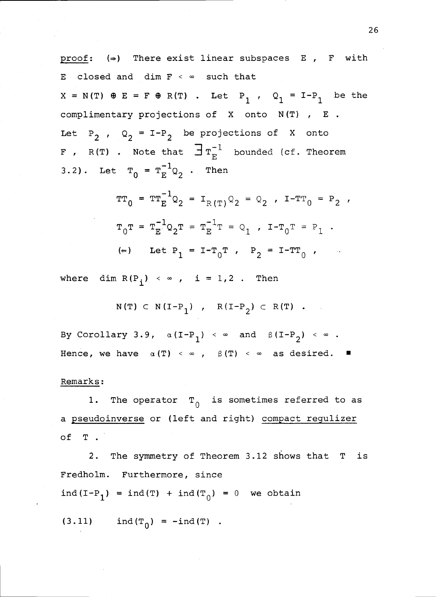proof:  $(\Rightarrow)$  There exist linear subspaces E, F with E closed and dim  $F \leftarrow \infty$  such that  $X = N(T) \oplus E = F \oplus R(T)$ . Let P<sub>1</sub>, Q<sub>1</sub> = I-P<sub>1</sub> be the complimentary projections of X onto N(T) , E . Let  $P_2$ ,  $Q_2 = I-P_2$  be projections of X onto **F** , R(T) . Note that  $\exists$   $T_{F}^{-1}$  bounded (cf. Theorem 3.2). Let  $T_0 = T_E^{-1} Q_2$ . Then

$$
TT_0 = TT_E^{-1}Q_2 = I_{R(T)}Q_2 = Q_2
$$
,  $I-TT_0 = P_2$ ,  
\n $T_0T = T_E^{-1}Q_2T = T_E^{-1}T = Q_1$ ,  $I-T_0T = P_1$ .  
\n( $\Leftarrow$ ) Let  $P_1 = I-T_0T$ ,  $P_2 = I-TT_0$ ,

where dim  $R(P_i) < \infty$ , i = 1,2. Then

$$
N(T) \subset N(I-P_1)
$$
,  $R(I-P_2) \subset R(T)$ .

By Corollary 3.9,  $\alpha(I-P_1) \leq \infty$  and  $\beta(I-P_2) \leq \infty$ . Hence, we have  $\alpha(T) < \infty$ ,  $\beta(T) < \infty$  as desired.

#### Remarks:

1. The operator  $T_0$  is sometimes referred to as a pseudoinverse or (left and right) compact regulizer of T .

2. The symmetry of Theorem 3.12 shows that T is Fredholm. Furthermore, since ind(I-P<sub>1</sub>) = ind(T) + ind(T<sub>0</sub>) = 0 we obtain

(3.11)  $ind(T_0) = -ind(T)$ .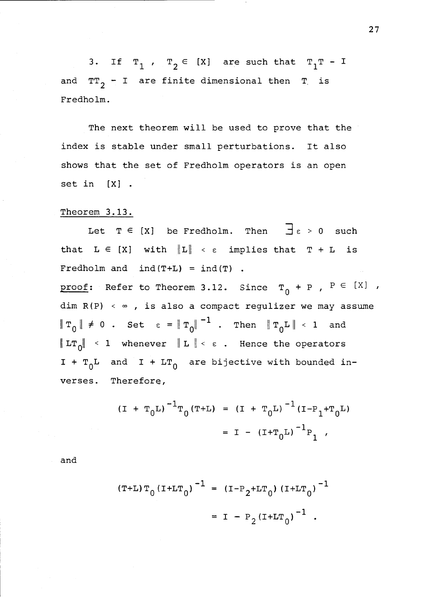3. If  $T_1$ ,  $T_2 \in [X]$  are such that  $T_1T - I$ and  $TT_{2}$  - I are finite dimensional then T is Fredholm.

The next theorem will be used to prove that the index is stable under small perturbations. It also shows that the set of Fredholm operators is an open set in [X] .

#### Theorem 3.13.

Let  $T \in [X]$  be Fredholm. Then  $\exists \varepsilon > 0$  such that  $L \in [X]$  with  $\|L\| < \varepsilon$  implies that  $T + L$  is Fredholm and  $ind(T+L) = ind(T)$ . proof: Refer to Theorem 3.12. Since  $T_0 + P$ ,  $P \in [X]$ ,  $dim R(P) < \infty$ , is also a compact regulizer we may assume  $\|\mathbb{T}_{0}\| \neq 0$  . Set  $\epsilon = \|\mathbb{T}_{0}\|^{-1}$  . Then  $\|\mathbb{T}_{0}\mathbb{L}\| < 1$  and LT $_0\!|\!|\,$  < 1 whenever  $\parallel$  L  $\parallel$  <  $\epsilon$  . Hence the operators I +  $T_0$ L and I + LT<sub>0</sub> are bijective with bounded inverses. Therefore,

$$
(I + T_0L)^{-1}T_0(T+L) = (I + T_0L)^{-1}(I - P_1 + T_0L)
$$

$$
= I - (I + T_0L)^{-1}P_1,
$$

and

$$
(T+L) T_0 (I+LT_0)^{-1} = (I-P_2+LT_0) (I+LT_0)^{-1}
$$
  
= I - P\_2 (I+LT\_0)^{-1}.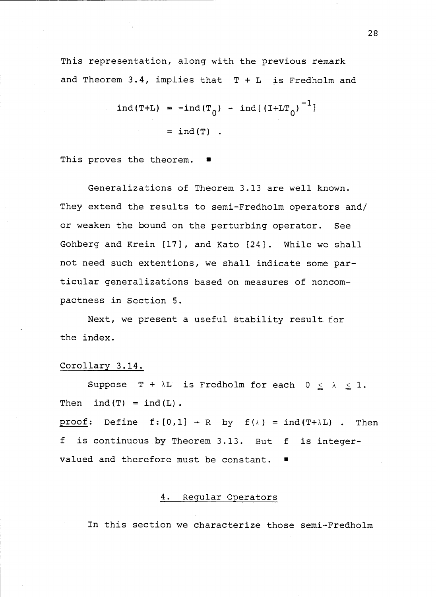This representation, along with the previous remark and Theorem 3.4, implies that  $T + L$  is Fredholm and

$$
ind(T+L) = -ind(T_0) - ind[(I+LT_0)^{-1}]
$$
  
=  $ind(T)$ .

This proves the theorem.

Generalizations of Theorem 3.13 are well known. They extend the results to semi-Fredholm operators and/ or weaken the bound on the perturbing operator. See Gohberg and Krein [17], and Kato [24]. While we shall not need such extentions, we shall indicate some particular generalizations based on measures of noncompactness in Section 5.

Next, we present a useful stability result for the index.

#### Corollary 3.14.

Suppose  $T + \lambda L$  is Fredholm for each  $0 \leq \lambda \leq 1$ . Then  $ind(T) = ind(L)$ .

proof: Define  $f:[0,1] \rightarrow R$  by  $f(\lambda) = ind(T+\lambda L)$ . Then <sup>f</sup> is continuous by Theorem 3.13. But f is integervalued and therefore must be constant.

#### 4. Regular Operators

In this section we characterize those semi-Fredholm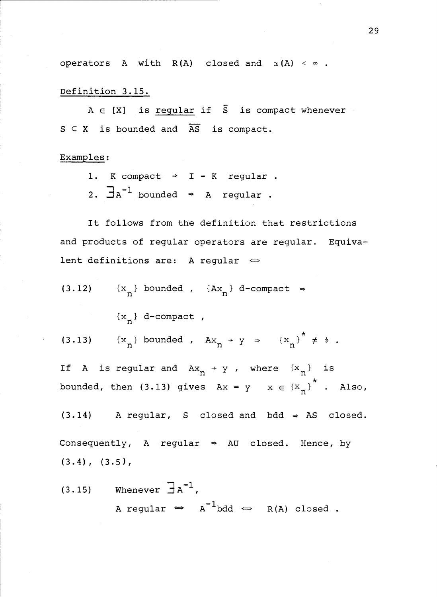operators A with  $R(A)$  closed and  $\alpha(A) < \infty$ .

Definition 3.15.

 $A \in [X]$  is regular if  $\overline{S}$  is compact whenever  $S \subset X$  is bounded and  $\overline{AS}$  is compact.

Examples:

- 1. K compact  $\Rightarrow$  I K regular.
- 2.  $\exists$ A<sup>-1</sup> bounded  $\Rightarrow$  A regular.

It follows from the definition that restrictions and products of regular operators are regular. Equivalent definitions are: A regular  $\Leftrightarrow$ 

(3.12)  $\{x_n\}$  bounded ,  $\{Ax_n\}$  d-compact  $\Rightarrow$ 

 ${x_n}$  d-compact,

(3.13)  $\{x_n\}$  bounded ,  $Ax_n \rightarrow y \Rightarrow \{x_n\}^* \neq \emptyset$ .

If A is regular and  $Ax_n \rightarrow y$ , where  ${x_n}$  is bounded, then (3.13) gives  $Ax = y$   $x \in {x_n}^*$ . Also,

 $(3.14)$  A regular, S closed and bdd  $\Rightarrow$  AS closed. Consequently, A regular  $\Rightarrow$  AU closed. Hence, by  $(3.4)$ ,  $(3.5)$ ,

(3.15) Whenever  $\overline{\exists} A^{-1}$ , A regular  $\Leftrightarrow$   $A^{-1}$ bdd  $\Leftrightarrow$  R(A) closed.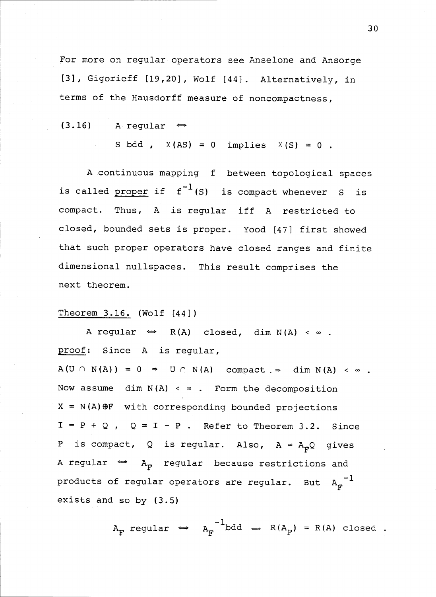For more on regular operators see Anselone and Ansorge [3], Gigorieff [19,20], Wolf [44]. Alternatively, in terms of the Hausdorff measure of noncompactness,

$$
(3.16) \qquad A regular \qquad \Leftrightarrow
$$

$$
S\text{ bdd }, X(AS) = 0 \text{ implies } X(S) = 0.
$$

A continuous mapping f between topological spaces is called proper if  $f^{-1}(s)$  is compact whenever S is compact. Thus, A is regular iff A restricted to closed, bounded sets is proper. Yood [47] first showed that such proper operators have closed ranges and finite dimensional nullspaces. This result comprises the next theorem.

#### Theorem 3.16. (Wolf [44])

A regular  $\Leftrightarrow$  R(A) closed, dim N(A) <  $\infty$ . proof: Since A is regular,  $A(U \cap N(A)) = 0 \Rightarrow U \cap N(A)$  compact  $\Rightarrow$  dim  $N(A) < \infty$ . Now assume  $\dim N(A) < \infty$ . Form the decomposition  $X = N(A) \oplus F$  with corresponding bounded projections  $I = P + Q$ ,  $Q = I - P$ . Refer to Theorem 3.2. Since P is compact, Q is regular. Also,  $A = A_p Q$  gives A regular  $\iff$  A<sub>F</sub> regular because restrictions and products of regular operators are regular. But  $A_F^{-1}$ exists and so by (3.5)

$$
A_F \text{ regular} \Leftrightarrow A_F^{-1} \text{bdd} \Leftrightarrow R(A_F) = R(A) \text{ closed} .
$$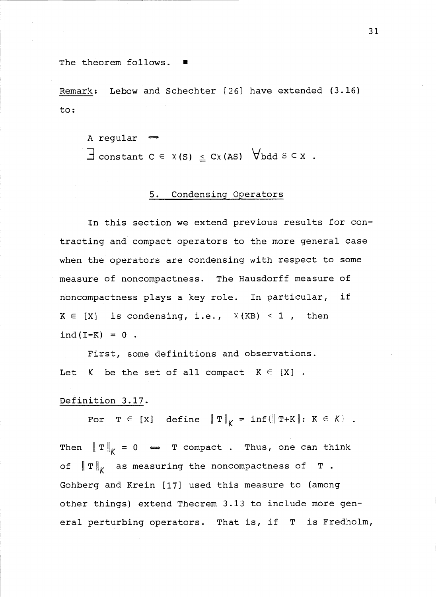The theorem follows.

Remark: Lebow and Schechter [26] have extended (3.16) to:

A regular  $\iff$ 

 $\exists$  constant  $c \in x(s) \leq cx$  (AS)  $\forall$  bdd  $s \in x$ .

# 5. Condensing Operators

In this section we extend previous results for contracting and compact operators to the more general case when the operators are condensing with respect to some measure of noncompactness. The Hausdorff measure of noncompactness plays a key role. In particular, if  $K \in [X]$  is condensing, i.e.,  $X(KB) < 1$ , then  $ind(I-K) = 0$ .

First, some definitions and observations. Let K be the set of all compact  $K \in [X]$ .

### Definition 3.17.

For  $T \in [X]$  define  $\|T\|_K = \inf\{\|T+K\|: K \in K\}$ . Then  $\|T\|_K = 0 \Leftrightarrow T$  compact. Thus, one can think of  $\left\|T\right\|_{K}$  as measuring the noncompactness of T. Gohberg and Krein [17] used this measure to (among other things) extend Theorem 3.13 to include more general perturbing operators. That is, if T is Fredholm,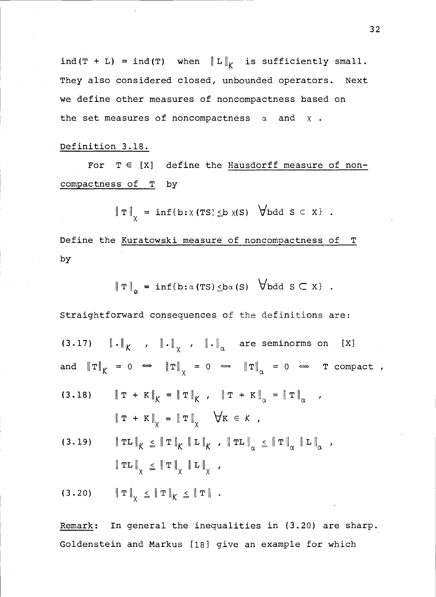ind(T + L) = ind(T) when  $\|L\|_K$  is sufficiently small. They also considered closed, unbounded operators. Next we define other measures of noncompactness based on the set measures of noncompactness  $\alpha$  and  $\chi$ .

## Definition 3.18.

For  $T \in [X]$  define the Hausdorff measure of noncompactness of T by

$$
\|\mathbf{T}\|_{\chi} = \inf\{\mathbf{b} : \chi(\mathbf{T}S) \leq \mathbf{b} \chi(S) \quad \forall \mathbf{b} \, d \, S \subset X\} \quad .
$$

Define the Kuratowski measure of noncompactness of T by

$$
\|\mathbf{T}\|_{\alpha} = \inf\{\mathbf{b} : \alpha(\mathbf{TS}) \leq \mathbf{b}\alpha(\mathbf{S}) \quad \forall \mathbf{b} \, \mathbf{d} \mathbf{S} \subset \mathbf{X}\}.
$$

Straightforward consequences of the definitions are: (3.17)  $\|\cdot\|_K$  ,  $\|\cdot\|_V$  ,  $\|\cdot\|_{\alpha}$  are seminorms on [X] and  $\|T\|_K = 0 \Leftrightarrow \|T\|_X = 0 \Leftrightarrow \|T\|_{\alpha} = 0 \Leftrightarrow T$  compact, (3.18)  $\|\mathbf{T} + \mathbf{K}\|_{K} = \|\mathbf{T}\|_{K}$ ,  $\|\mathbf{T} + \mathbf{K}\|_{\alpha} = \|\mathbf{T}\|_{\alpha}$ ,  $\|\mathbf{T} + \mathbf{K}\|_{\chi} = \|\mathbf{T}\|_{\chi} \quad \forall \mathbf{K} \in \mathcal{K}$ (3.19)  $\left\|T\mathbf{L}\right\|_{K} \leq \left\|T\right\|_{K} \left\|\mathbf{L}\right\|_{K}$ ,  $\left\|T\mathbf{L}\right\|_{\alpha} \leq \left\|T\right\|_{\alpha} \left\|\mathbf{L}\right\|_{\alpha}$ ,  $\|\text{TL}\|_{\chi} \leq \|\text{T}\|_{\chi} \|\text{L}\|_{\chi} ,$ (3.20)  $\|T\|_{\chi} \leq \|T\|_{K} \leq \|T\|$ .

Remark: In general the inequalities in (3.20) are sharp. Goldenstein and Markus [18] give an example for which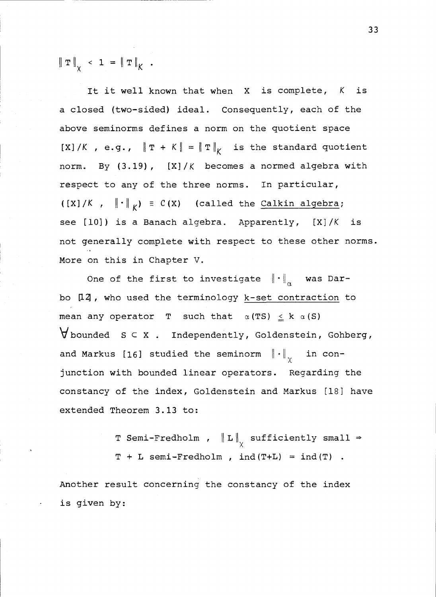$\|\mathbf{T}\|_{\mathbf{y}} \leq 1 = \|\mathbf{T}\|_{K}$ .

It it well known that when X is complete, K is a closed (two-sided) ideal. Consequently, each of the above seminorms defines a norm on the quotient space [X]/K, e.g.,  $\|\mathbf{T} + K\| = \|\mathbf{T}\|_K$  is the standard quotient norm. By  $(3.19)$ ,  $[X]/K$  becomes a normed algebra with respect to any of the three norms. In particular,  $([X]/K$ ,  $\|\cdot\|_K) \equiv C(X)$  (called the Calkin algebra; see  $[10]$ ) is a Banach algebra. Apparently,  $[X]/K$  is not generally complete with respect to these other norms. More on this in Chapter V.

One of the first to investigate  $\left\| \,\cdot\, \right\|_{\alpha}$  was Darbo [14, who used the terminology k-set contraction to mean any operator T such that  $\alpha(TS) \leq k \alpha(S)$  $\forall$  bounded  $s \in x$ . Independently, Goldenstein, Gohberg, and Markus [16] studied the seminorm  $\|\cdot\|_{\sqrt{}}$  in conjunction with bounded linear operators. Regarding the constancy of the index, Goldenstein and Markus [18] have extended Theorem 3.13 to:

> T Semi-Fredholm ,  $\|L\|_{\chi}$  sufficiently small  $\Rightarrow$  $T + L$  semi-Fredholm, ind(T+L) = ind(T).

Another result concerning the constancy of the index is given by: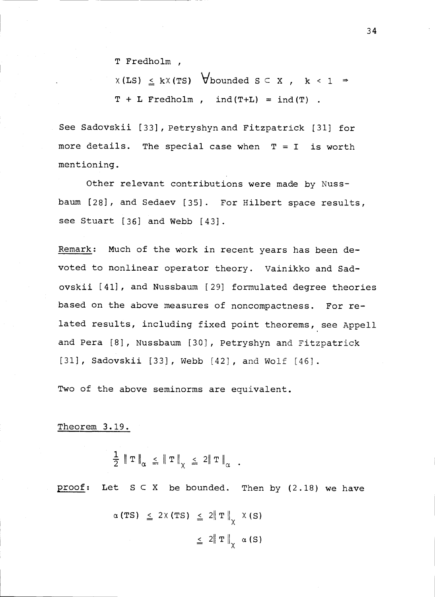T Fredholm,

 $X(LS) \le kX(TS)$  Vbounded  $S \subseteq X$ ,  $k < 1 \Rightarrow$  $T + L$  Fredholm,  $ind(T+L) = ind(T)$ .

See Sadovskii [33], Petryshyn and Fitzpatrick [31] for more details. The special case when  $T = I$  is worth mentioning.

Other relevant contributions were made by Nussbaum [28], and Sedaev [35]. For Hilbert space results, see Stuart [36] and Webb [43].

Remark: Much of the work in recent years has been devoted to nonlinear operator theory. Vainikko and Sadovskii [41], and Nussbaum [29] formulated degree theories based on the above measures of noncompactness. For related results, including fixed point theorems, see Appell and Pera [8], Nussbaum [30], Petryshyn and Fitzpatrick [31], Sadovskii [33], Webb [42], and Wolf [46].

Two of the above seminorms are equivalent.

#### Theorem 3.19.

$$
\frac{1}{2} \|T\|_{\alpha} \leq \|T\|_{\chi} \leq 2 \|T\|_{\alpha} .
$$

proof: Let  $S \subset X$  be bounded. Then by (2.18) we have

$$
\alpha (TS) \leq 2 \times (TS) \leq 2 \|T\|_{\chi} \times (S)
$$
  

$$
\leq 2 \|T\|_{\chi} \alpha (S)
$$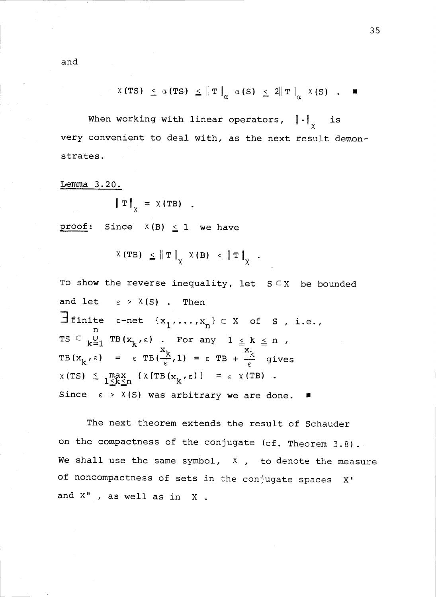$$
X(TS) \leq \alpha(TS) \leq \|T\|_{\alpha} \alpha(S) \leq 2\|T\|_{\alpha} X(S) .
$$

When working with linear operators,  $\left\|\cdot\right\|_{\chi}$  is very convenient to deal with, as the next result demonstrates.

Lemma 3.20.

$$
\|\mathbf{T}\|_{\chi} = \chi(\mathbf{T}\mathbf{B}) \quad .
$$

proof: Since  $X(B) \le 1$  we have

$$
X(TB) \leq \|T\|_{X} X(B) \leq \|T\|_{X} .
$$

To show the reverse inequality, let  $S \subseteq X$  be bounded and let  $\varepsilon > X(S)$ . Then  $\exists$  finite  $\varepsilon$ -net  $\{x_1, \ldots, x_n\} \subset X$  of S, i.e., TS  $\subseteq$   $\bigcup_{k=1}^{\infty}$  TB( $x_k$ ,e) . For any  $1 \le k \le n$  , TB( $x_k$ ,  $\varepsilon$ ) =  $\varepsilon$  TB( $\frac{x_k}{\varepsilon}$ , 1) =  $\varepsilon$  TB +  $\frac{x_k}{\varepsilon}$  gives  $X(TS) \leq \max_{1 \leq k \leq n} \{X(TB(x_k,\epsilon))\} = \epsilon \times (TB)$ . Since  $\epsilon > X(S)$  was arbitrary we are done.

The next theorem extends the result of Schauder on the compactness of the conjugate (cf. Theorem 3.8). We shall use the same symbol,  $X$ , to denote the measure of noncompactness of sets in the conjugate spaces X' and X" , as well as in X .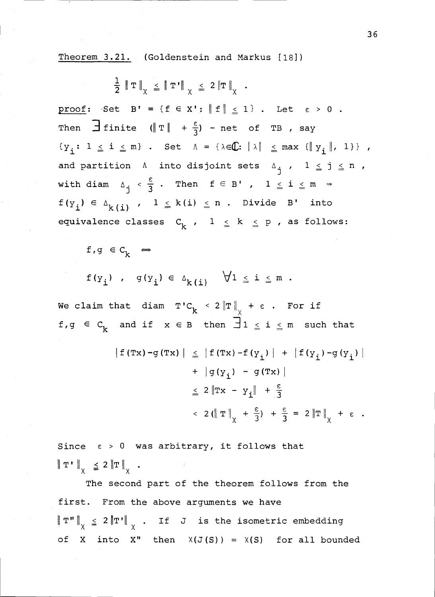Theorem 3.21. (Goldenstein and Markus [18])

 $\frac{1}{2}$   $\|\mathbf{T}\|_{\vee}$   $\leq$   $\|\mathbf{T'}\|_{\vee}$   $\leq$  2  $\|\mathbf{T}\|_{\vee}$  . proof:  $Set$  B' = {f  $\in$  X':  $||f|| \le 1$  . Let  $\varepsilon > 0$ . Then  $\Box$  finite  $(\Vert T \Vert + \frac{1}{3})$  - net of TB , say  $\{y_i: 1 \leq i \leq m\}$ . Set  $A = \{\lambda \in \mathbb{C}: |\lambda| \leq \max \{\|y_i\|, 1\}\}\$ , and partition A into disjoint sets  $A_{\mathbf{i}}$ ,  $1 \leq \mathbf{j} \leq \mathbf{n}$ , with diam  $\Delta_{\dot{1}} < \frac{\epsilon}{3}$ . Then  $f \in B'$ ,  $1 \leq i \leq m$ with diam  $\Delta_j < \frac{1}{3}$ .<br>  $f(y_i) \in \Delta_{k(i)}$ ,  $1 \le$  $1\, \leq \,$  k(i)  $\, \leq \,$  n . Divide B' into equivalence classes  $C_k$ ,  $1 \le k \le p$ , as follows:

f,g  $\in$  C<sub>k</sub>  $\Leftrightarrow$ 

$$
f(y_i)
$$
,  $g(y_i) \in \Delta_{k(i)}$   $\forall 1 \leq i \leq m$ .

We claim that  $\mathtt{diam}$  T'C  $_{\mathbf{k}}$  < 2  $\left\| \mathtt{T} \right\|_{\chi}$  +  $\varepsilon$  . For if f,g  $\in$  C<sub>k</sub> and if  $x \in B$  then  $\exists$ 1  $\leq$  i  $\leq$  m such that

$$
|f(Tx) - g(Tx)| \leq |f(Tx) - f(y_1)| + |f(y_1) - g(y_1)|
$$
  
+  $|g(y_1) - g(Tx)|$   

$$
\leq 2 \|Tx - y_1\| + \frac{\varepsilon}{3}
$$
  

$$
< 2 (\|T\|_X + \frac{\varepsilon}{3}) + \frac{\varepsilon}{3} = 2 \|T\|_X + \varepsilon.
$$

Since  $\varepsilon > 0$  was arbitrary, it follows that  $\|\mathbf{T}^{\dagger}\|_{\mathbf{y}} \leq 2 \|\mathbf{T}\|_{\mathbf{y}}.$ 

The second part of the theorem follows from the first. From the above arguments we have T" $\Vert_{\chi}$   $\leq$  2  $\Vert$ T' $\Vert_{\chi}$  . If J is the isometric embedding of X into X" then  $X(J(S)) = X(S)$  for all bounded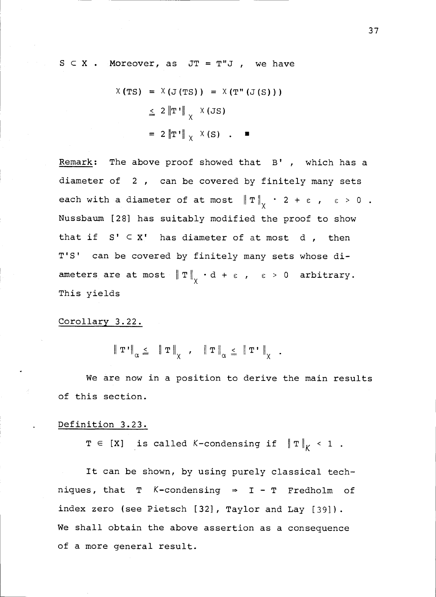$S \subset X$  . Moreover, as  $JT = T''J$ , we have

$$
X(TS) = X(J(TS)) = X(T''(J(S)))
$$
  
\n
$$
\leq 2 \|T'\|_{X} X(JS)
$$
  
\n
$$
= 2 \|T'\|_{X} X(S) . \blacksquare
$$

Remark: The above proof showed that  $B'$  , which has a diameter of <sup>2</sup>, can be covered by finitely many sets each with a diameter of at most  $\|\mathbf{T}\|_{\mathcal{V}}$   $\cdot$  2 +  $\epsilon$  ,  $\epsilon$  > 0 . Nussbaum [28] has suitably modified the proof to show that if  $S' \subset X'$  has diameter of at most d, then T'S' can be covered by finitely many sets whose diameters are at most  $\|\mathbf{T}\|_{\chi} \cdot d + \varepsilon$ ,  $\varepsilon > 0$  arbitrary. This yields

### Corollary 3.22.

 $\left\| \left. \mathbf{T}^{\intercal} \right\|_{\alpha} \leq \left\| \left. \mathbf{T} \right\|_{\chi} \right. , \quad \left\| \left. \mathbf{T} \right\|_{\alpha} \leq \left\| \left. \mathbf{T}^{\intercal} \right\|_{\chi} \right. .$ 

We are now in a position to derive the main results of this section.

# Definition 3.23.

 $T \in [X]$  is called K-condensing if  $\|T\|_K < 1$ .

It can be shown, by using purely classical techniques, that T  $K$ -condensing  $\Rightarrow$  I - T Fredholm of index zero (see Pietsch (32], Taylor and Lay [39]). We shall obtain the above assertion as a consequence of a more general result.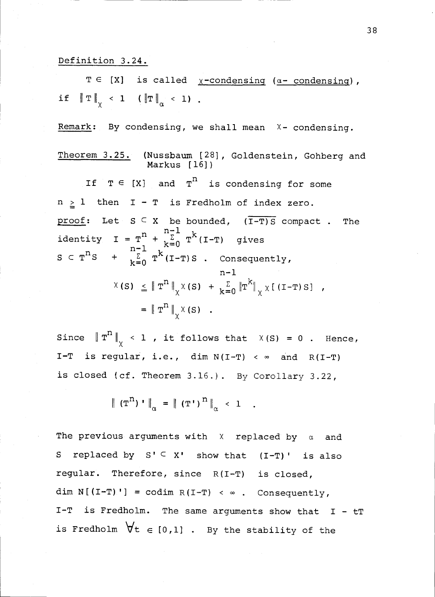# Definition 3.24.

 $T \in [X]$  is called  $\chi$ -condensing ( $\alpha$ - condensing), if  $\left\| \mathbf{T} \right\|_{\vee}$  < 1 ( $\left\| \mathbf{T} \right\|_{\alpha}$  < 1).

Remark: By condensing, we shall mean  $X -$  condensing.

Theorem 3.25. (Nussbaum [28], Goldenstein, Gohberg and Markus [16]) If  $T \in [X]$  and  $T^n$  is condensing for some

 $n \geq 1$  then  $I - T$  is Fredholm of index zero. proof: Let  $S \subseteq X$  be bounded,  $(\overline{I-T})S$  compact. The identity I =  $\mathbf{T}^{\mathbf{n}} + \frac{\mathbf{r}^{\mathbf{n}-1}}{\mathbf{k}^{\mathbf{p}-1}} \mathbf{T}^{\mathbf{k}}$  (I-T) gives  $S \subset T^{n}S + \sum_{k=0}^{n-1} T^{k}(I-T)S$  . Consequently,  $n-1$  $X(S) \leq \|T^{n}\|_{X} \times (S) + \sum_{k=0}^{\infty} \|T^{k}\|_{X} \times [(T-T)S]$ ,  $=$   $\|\mathbf{T}^{n}\|_{\vee} \times (s)$ .

Since  $\|\mathbf{T}^{\mathbf{n}}\|_{\chi}$  < 1 , it follows that  $\chi(\mathbf{S}) = 0$  . Hence, I-T is regular, i.e., dim  $N(I-T) < \infty$  and  $R(I-T)$ is closed (cf. Theorem 3.16.). By Corollary 3.22,

$$
\| (\mathbf{T}^{\mathbf{n}})^{\mathbf{1}} \|_{\alpha} = \| (\mathbf{T}^{\mathbf{1}})^{\mathbf{n}} \|_{\alpha} < 1.
$$

The previous arguments with  $X$  replaced by  $\alpha$  and S replaced by  $S' \subseteq X'$  show that  $(I-T)'$  is also regular. Therefore, since R(I-T) is closed, dim  $N[(I-T)'] = codim R(I-T) < \infty$ . Consequently, I-T is Fredholm. The same arguments show that I - tT is Fredholm  $\forall t \in [0,1]$  . By the stability of the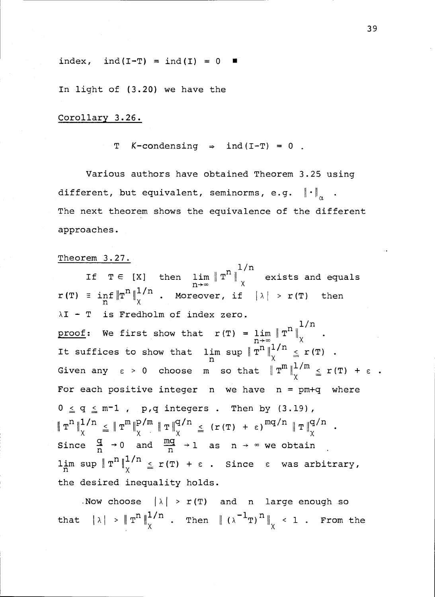index, ind(I-T) = ind(I) =  $0$   $\blacksquare$ 

In light of (3.20) we have the

Corollary 3.26.

T  $K$ -condensing  $\Rightarrow$  ind(I-T) = 0.

Various authors have obtained Theorem 3.25 using different, but equivalent, seminorms, e.g.  $\left\| \cdot \right\|_{\sim}$ . The next theorem shows the equivalence of the different approaches.

#### Theorem 3.27.

 $1/n$ If  $T \in [X]$  then  $\lim_{n \to \infty} \|T^{**}\|_X$  exists and equals  $\mathbf{r}(\mathbf{T}) = \inf_{\mathbf{n}} \|\mathbf{T}^{\mathbf{n}}\|_{\chi}^{1/n}$  . Moreover, if  $|\lambda| > \mathbf{r}(\mathbf{T})$  then  $\lambda I$  - T is Fredholm of index zero. 1/n proof: We first show that  $r(T) = \lim_{n \to \infty} \|T^{11}\|_{\chi}$  . It suffices to show that  $\lim_{n \to \infty} \sup \|\Upsilon^{n}\|_{\chi}^{1/n} \leq r(T)$ . Given any  $\varepsilon > 0$  choose m so that  $\|T^m\|_{\nu}^{1/m} \le r(T) + \varepsilon$ . For each positive integer  $n$  we have  $n = pm+q$  where  $0 \le q \le m-1$ , p,q integers . Then by (3.19),  $T^{n} \parallel_{\chi}^{1/n} \leq \|T^{m}\|_{\chi}^{p/m} \|T\|_{\chi}^{q/n} \leq (r(T) + \epsilon)^{mq/n} \|T\|_{\chi}^{q/n}.$ Since  $\frac{q}{n} \to 0$  and  $\frac{mq}{n} \to 1$  as  $n \to \infty$  we obtain lim sup  $\| \operatorname{T}^n \|^{{1/n}}$   $\leq$  r(T) +  $\epsilon$  . Since  $\epsilon$  was arbitrary,  $\chi$   $\approx$   $\pm$  (1)  $\approx$ the desired inequality holds.

Now choose  $|\lambda| > r(T)$  and n large enough so that  $|\lambda| > \|T^{\prime\prime}\|_{\chi}^{1/\prime\prime}$  . Then  $\| (\lambda^{-1}T)^{\prime\prime}\|_{\chi} < 1$  . From the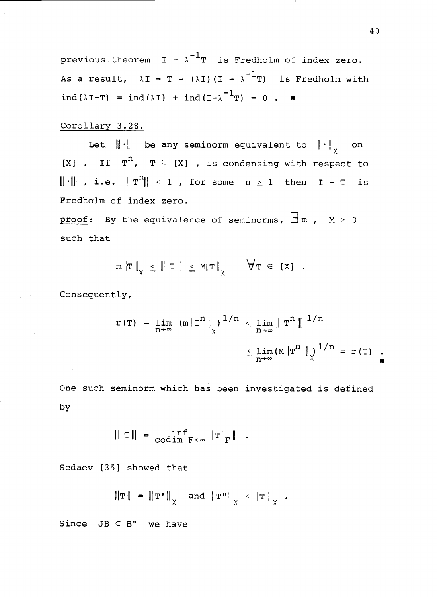previous theorem  $I - \lambda^{-1}T$  is Fredholm of index zero. As a result,  $\lambda I - T = (\lambda I)(I - \lambda^{-1}T)$  is Fredholm with ind( $\lambda I-T$ ) = ind( $\lambda I$ ) + ind( $I-\lambda$ <sup>-1</sup>T) = 0 .  $\blacksquare$ 

# Corollary 3.28.

Let  $\|\cdot\|$  be any seminorm equivalent to  $\|\cdot\|_{\sqrt{2}}$  on [X] . If  $T^n$ ,  $T \in [X]$  , is condensing with respect to  $\|\cdot\|$  , i.e.  $\|\mathbf{T}^{n}\|$  < 1 , for some  $n \geq 1$  then  $I - T$  is Fredholm of index zero.

proof: By the equivalence of seminorms,  $\exists m$ ,  $M > 0$ such that

$$
\mathsf{m} \|\mathsf{T}\|_{\chi} \leq \| \mathsf{T}\| \leq \mathsf{M} \|\mathsf{T}\|_{\chi} \qquad \forall \mathsf{T} \in [X] .
$$

Consequently,

$$
r(T) = \lim_{n \to \infty} (m \|T^{n}\|_{\chi})^{1/n} \leq \lim_{n \to \infty} \|T^{n}\|^{1/n}
$$
  
 $\leq \lim_{n \to \infty} (M \|T^{n}\|_{\chi})^{1/n} = r(T)$ .

One such seminorm which has been investigated is defined by

$$
\|\mathbf{T}\| = \inf_{\text{codim } \mathbf{F} < \infty} \|\mathbf{T}\|_{\mathbf{F}} \quad .
$$

Sedaev [35] showed that

$$
\|\mathbf{T}\| = \|\mathbf{T'}\|_{\chi} \quad \text{and} \quad \|\mathbf{T''}\|_{\chi} \leq \|\mathbf{T}\|_{\chi} .
$$

Since  $JB \subset B''$  we have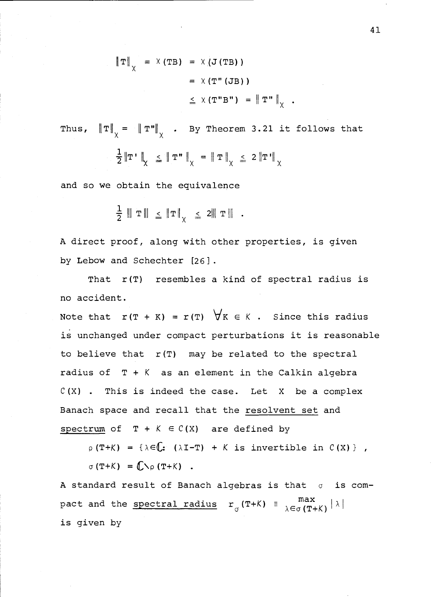$$
\|\mathbf{T}\|_{\chi} = \chi(\mathbf{T}\mathbf{B}) = \chi(\mathbf{J}(\mathbf{T}\mathbf{B}))
$$
  

$$
= \chi(\mathbf{T}''(\mathbf{J}\mathbf{B}))
$$
  

$$
\leq \chi(\mathbf{T}''\mathbf{B}''') = \|\mathbf{T}''\|_{\chi}.
$$

Thus,  $\left\| \mathbf{T} \right\|_{\chi}$  =  $\left\| \mathbf{T}^{\mathbf{u}} \right\|_{\chi}$  . By Theorem 3.21 it follows that  $\left\|T\right\|_{\chi} \leq \left\|T\right\|_{\chi} = \left\|T\right\|_{\chi} \leq 2\left\|T\right\|_{\chi}$ 

and so we obtain the equivalence

$$
\frac{1}{2} \parallel T \parallel \leq \Vert T \Vert_{\chi} \leq 2 \parallel T \parallel .
$$

A direct proof, along with other properties, is given by Lebow and Schechter [26].

That  $r(T)$  resembles a kind of spectral radius is no accident.

Note that  $r(T + K) = r(T)$   $\forall K \in K$ . Since this radius is unchanged under compact perturbations it is reasonable to believe that  $r(T)$  may be related to the spectral radius of  $T + K$  as an element in the Calkin algebra  $C(X)$  . This is indeed the case. Let X be a complex Banach space and recall that the resolvent set and spectrum of  $T + K \in C(X)$  are defined by

 $p(T+K) = {\lambda \in \mathbb{C}: ( \lambda I-T ) + K \text{ is invertible in } C(X) }$ ,  $\sigma$  (T+K) =  $\mathbb{C}\setminus\rho$  (T+K).

A standard result of Banach algebras is that  $\sigma$  is compact and the <u>spectral radius</u>  $r_{\sigma}(T+K) = \frac{max}{\lambda \in \sigma(T+K)}|\lambda|$  $\lambda$ ∈σ (Τ+Κ) $^{\mid\,\,\wedge\,\,\mid}$ is given by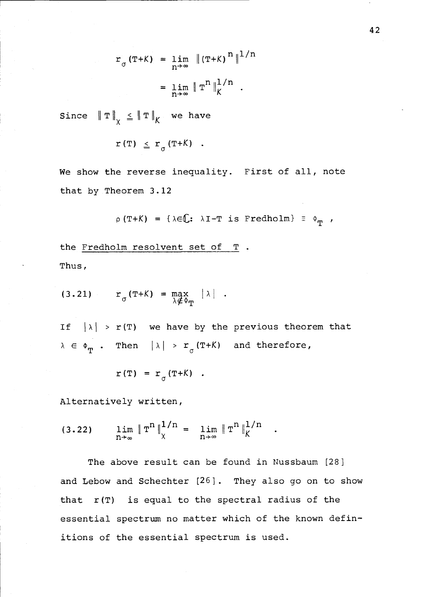$$
r_{\sigma}(\text{T} + \text{K}) = \lim_{n \to \infty} \|(\text{T} + \text{K})^{n}\|^{1/n}
$$
  
=  $\lim_{n \to \infty} \| \text{T}^{n} \|_{K}^{1/n}$ .

Since  $\left\| \, \mathrm{T} \, \right\|_{\chi} \ \leq \left\| \, \mathrm{T} \, \right\|_{\mathcal{K}}$  we have  $x \sim$ 

$$
r(T) \leq r_{\sigma}(T+K) .
$$

We show the reverse inequality. First of all, note that by Theorem 3.12

$$
\rho(T+K) = \{\lambda \in \mathbb{C}: \lambda I-T \text{ is Fredholm}\} \equiv \Phi_{\mathbf{p}},
$$

Thus, the Fredholm resolvent set of T .

$$
(3.21) \t\t\t\t r_{\sigma}(\texttt{T+K}) = \max_{\lambda \notin \Phi_{\texttt{T}}} |\lambda| .
$$

If  $|\lambda| > r(T)$  we have by the previous theorem that  $\lambda \in \Phi_{\textbf{T}}$  . Then  $|\lambda|$  >  $\texttt{r}_{\sigma}(\texttt{T+K})$  and therefore,

$$
r(T) = r\sigma (T+K) .
$$

Alternatively written,

$$
(3.22) \quad \lim_{n \to \infty} \| T^{n} \|_{\chi}^{1/n} = \lim_{n \to \infty} \| T^{n} \|_{K}^{1/n}.
$$

The above result can be found in Nussbaum [28] and Lebow and Schechter [26]. They also go on to show that r(T) is equal to the spectral radius of the essential spectrum no matter which of the known definitions of the essential spectrum is used.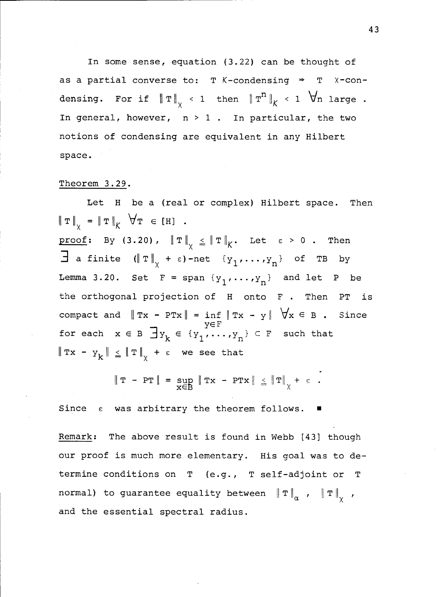In some sense, equation (3.22) can be thought of as a partial converse to: T K-condensing  $\Rightarrow$  T  $x$ -condensing. For if  $\left\| \, \mathbb{T} \, \right\|_{\chi} \, < \, 1$  then  $\left\| \, \mathbb{T}^{\prime\prime} \, \right\|_{K} \, < \, 1$   $\; \; \forall n$  large . In general, however,  $n > 1$ . In particular, the two notions of condensing are equivalent in any Hilbert space.

#### Theorem 3.29.

Let H be a (real or complex) Hilbert space. Then  $\|\mathbf{T}\|_{\mathbf{y}} = \|\mathbf{T}\|_{\mathbf{K}} \quad \forall \mathbf{T} \in [H]$ .

proof: By (3.20),  $\|T\|_{\chi} \leq \|T\|_{K}$ . Let  $\varepsilon > 0$ . Then  $\exists$  a finite  $(\Vert \mathbf{T} \Vert_{\mathbf{y}} + \varepsilon)$ -net  $\{y_1, \dots, y_n\}$  of TB by Lemma 3.20. Set F = span  $\{y_1, \ldots, y_n\}$  and let P be the orthogonal projection of H onto F . Then PT is compact and  $\|Tx - PTx\| = \inf_{x \in \mathbb{R}} \|Tx - y\| \quad \forall x \in B$ . Since YE E' for each  $x \in B \text{ by } x \in \{y_1, \ldots, y_n\} \subset F$  such that  $\|\mathbf{T} \mathbf{x} - \mathbf{y}_{k}\| \leq \|\mathbf{T}\|_{\chi} + \varepsilon$  we see that

$$
\|\mathbf{T} - \mathbf{PT}\| = \sup_{\mathbf{X} \in \mathbf{B}} \|\mathbf{Tx} - \mathbf{PTx}\| \le \|\mathbf{T}\|_{\chi} + \varepsilon.
$$

Since  $\varepsilon$  was arbitrary the theorem follows.

Remark: The above result is found in Webb [43] though our proof is much more elementary. His goal was to determine conditions on T (e.g., T self-adjoint or T normal) to guarantee equality between  $\|T\|_{\alpha}$ ,  $\|T\|_{\gamma}$ , and the essential spectral radius.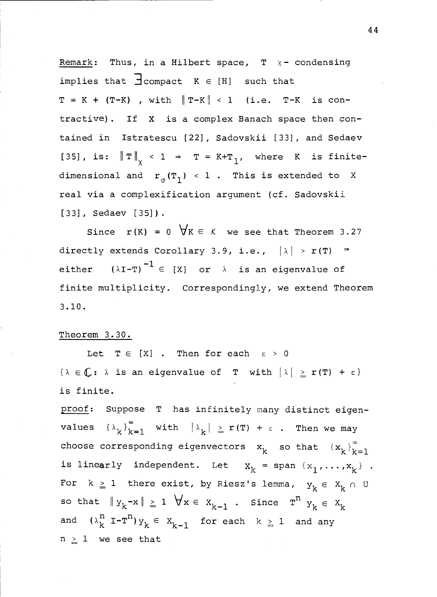Remark: Thus, in a Hilbert space,  $T \times -$  condensing implies that  $\exists$  compact  $K \in [H]$  such that  $T = K + (T-K)$ , with  $T-K < 1$  (i.e.  $T-K$  is contractive). If X is a complex Banach space then contained in Istratescu [22], Sadovskii [33], and Sedaev [35], is:  $\|\mathbf{T}\|_{\chi}$  < 1  $\Rightarrow$  T = K+T<sub>1</sub>, where K is finitedimensional and  $r_{\sigma}(T_1)$  < 1. This is extended to X real via a complexification argument (cf. Sadovskii [33], Sedaev [35]).

Since  $r(K) = 0 \quad \forall K \in K$  we see that Theorem 3.27 directly extends Corollary 3.9, i.e.,  $|\lambda| > r(T)$   $\Rightarrow$ either  $(\lambda I-T)^{-1} \in [X]$  or  $\lambda$  is an eigenvalue of finite multiplicity. Correspondingly, we extend Theorem 3.10.

# Theorem 3.30.

Let  $T \in [X]$  . Then for each  $\varepsilon > 0$  $\{\lambda \in \mathbb{C}: \lambda \text{ is an eigenvalue of } T \text{ with } |\lambda| \geq r(T) + \varepsilon\}$ is finite.

proof: Suppose T has infinitely many distinct eigenvalues  $\{\lambda_k\}_{k=1}^{\infty}$  with  $|\lambda_k| \ge r(T) + \varepsilon$ . Then we may choose corresponding eigenvectors  $x_k$  so that  ${x_k}_{k=1}^{\infty}$ is linearly independent. Let  $x_k = span \{x_1, ..., x_k\}$ . For  $k \ge 1$  there exist, by Riesz's lemma,  $y_k \in X_k \cap U$ so that  $\|y_k-x\| \geq 1$   $\forall x \in x_{k-1}$ . Since  $T^n$   $y_k \in x_k$ and  $(\lambda_k^n I - T^n) y_k \in X_{k-1}$  for each  $k \geq 1$  and any  $n \geq 1$  we see that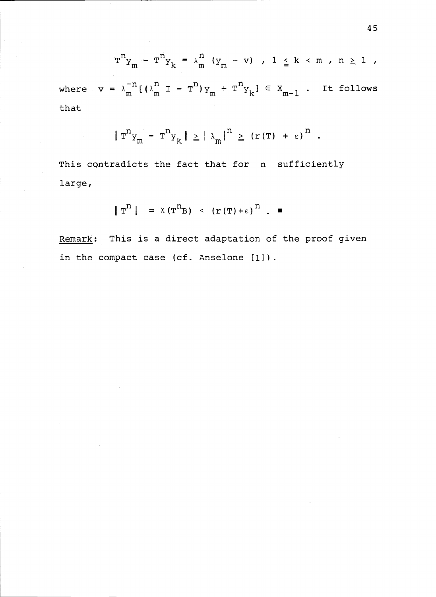$$
T^{n}Y_{m} - T^{n}Y_{k} = \lambda_{m}^{n} (Y_{m} - v), 1 \leq k < m, n \geq 1
$$

where  $v = \lambda_m^{-n} [(\lambda_m^n I - T^n)_{Y_m} + T^n_{Y_k}] \in X_{m-1}$ . It follows that

$$
\|\mathbf{T}^n \mathbf{y}_m - \mathbf{T}^n \mathbf{y}_k\| \geq |\lambda_m|^n \geq (r(\mathbf{T}) + \varepsilon)^n.
$$

This contradicts the fact that for n sufficiently large,

$$
\|\mathbf{T}^{\mathrm{R}}\| = \chi(\mathbf{T}^{\mathrm{R}})\langle (\mathbf{r}(\mathbf{T}) + \varepsilon)^{\mathrm{R}}\rangle. \blacksquare
$$

Remark: This is a direct adaptation of the proof given in the compact case (cf. Anselone [1]).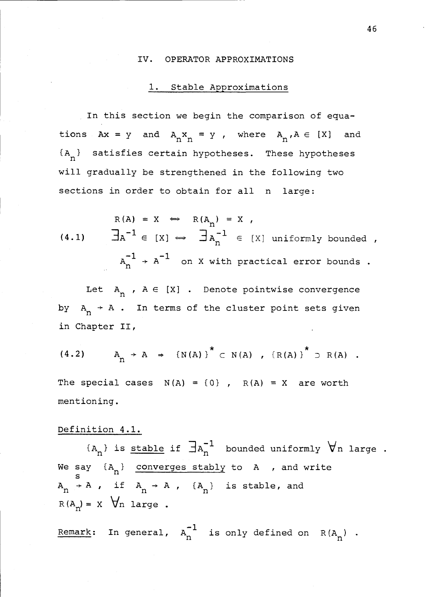#### IV. OPERATOR APPROXIMATIONS

# 1. Stable Approximations

In this section we begin the comparison of equations  $Ax = y$  and  $A_n x_n = y$ , where  $A_n A \in [X]$  and  ${A_n}$  satisfies certain hypotheses. These hypotheses will gradually be strengthened in the following two sections in order to obtain for all n large:

 $R(A) = X \Leftrightarrow R(A_n) = X$ (4.1)  $\exists A^{-1} \in [X] \Leftrightarrow \exists A_n^{-1} \in [X]$  uniformly bounded,  $A_{n}^{-1}$   $\rightarrow$   $A^{-1}$  on X with practical error bounds .

Let  $A_n$ ,  $A \in [X]$ . Denote pointwise convergence by  $A_n \rightarrow A$ . In terms of the cluster point sets given in Chapter II,

(4.2) 
$$
A_n \rightarrow A \Rightarrow \{N(A)\}^* \subset N(A)
$$
,  $\{R(A)\}^* \supset R(A)$ .

The special cases  $N(A) = \{0\}$ ,  $R(A) = X$  are worth mentioning.

# Definition 4.1.

 $\{A_n\}$  is <u>stable</u> if  $\exists A_n^{-1}$  bounded uniformly  $\forall$ n large . We say  $\{A_n\}$  converges stably to A , and write  $A_n \rightarrow A$ , if  $A_n \rightarrow A$ ,  $\{A_n\}$  is stable, and  $R(A_n) = X \quad \forall n \text{ large}$ .

Remark: In general,  $A_n^{-1}$  is only defined on  $R(A_n)$ .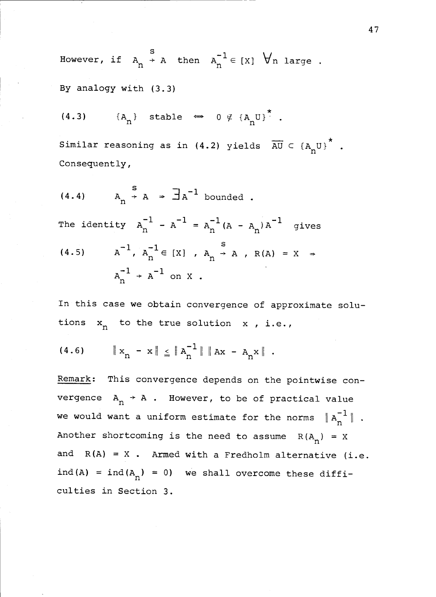However, if  $A_n \rightarrow A$  then  $A_n^{-1} \in [X]$   $\forall n$  large.

# By analogy with (3.3)

(4.3)  ${A_n}$  stable  $\Leftrightarrow$  0  $\notin$   ${A_n}$ U}<sup>\*</sup>.

Similar reasoning as in (4.2) yields  $\overline{AU} \subset {A_nU}^*$ . Consequently,

(4.4) 
$$
A_n \rightarrow A \rightarrow \exists A^{-1} \text{ bounded}
$$
.  
\nThe identity  $A_n^{-1} - A^{-1} = A_n^{-1} (A - A_n) A^{-1}$  gives  
\n(4.5)  $A^{-1} A_n^{-1} \in [X] , A_n \rightarrow A , R(A) = X \Rightarrow$   
\n $A_n^{-1} \rightarrow A^{-1} \text{ on } X .$ 

In this case we obtain convergence of approximate solutions  $x_n$  to the true solution  $x$  , i.e.,

$$
(4.6) \t\t | x_n - x | \leq \| A_n^{-1} \| \| Ax - A_n x \|.
$$

Remark: This convergence depends on the pointwise convergence  $A_n \rightarrow A$ . However, to be of practical value we would want a uniform estimate for the norms  $\|A_n^{-1}\|$ . Another shortcoming is the need to assume  $R(A_n) = X$ and  $R(A) = X$ . Armed with a Fredholm alternative (i.e. ind(A) = ind( $A_n$ ) = 0) we shall overcome these difficulties in Section 3.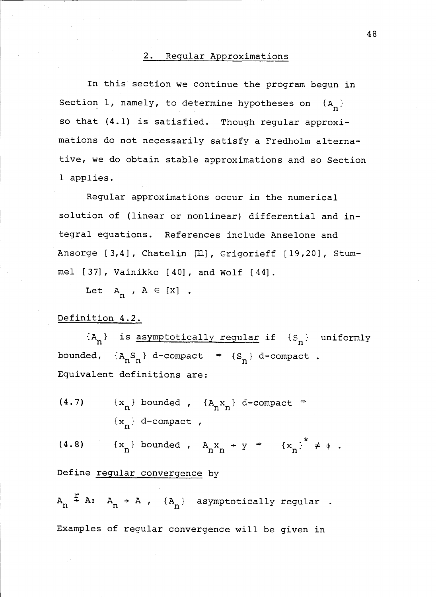### 2. Regular Approximations

In this section we continue the program begun in Section 1, namely, to determine hypotheses on  $\{A_n\}$ so that (4.1) is satisfied. Though regular approximations do not necessarily satisfy a Fredholm alternative, we do obtain stable approximations and so Section 1 applies.

Regular approximations occur in the numerical solution of (linear or nonlinear) differential and integral equations. References include Anselone and Ansorge [3,4], Chatelin [II], Grigorieff [19,20], Stummel [37], Vainikko [40], and Wolf [44].

Let  $A_n$ ,  $A \in [X]$ .

# Definition 4.2.

 ${A_n}$  is asymptotically regular if  ${S_n}$  uniformly bounded,  $\{A_nS_n\}$  d-compact  $\Rightarrow$   $\{S_n\}$  d-compact. Equivalent definitions are:

(4.7)  $\{x_n\}$  bounded ,  $\{A_n x_n\}$  d-compact  $\Rightarrow$  $\{x_n\}$  d-compact,

(4.8)  $\{x_n\}$  bounded,  $A_n x_n \rightarrow y \Rightarrow \{x_n\}^{\circ} \neq \phi$ .

Define regular convergence by

 $A_n \stackrel{.}{\rightarrow} A: A_n \rightarrow A$  ,  $\{A_n\}$  asymptotically regular. Examples of regular convergence will be given in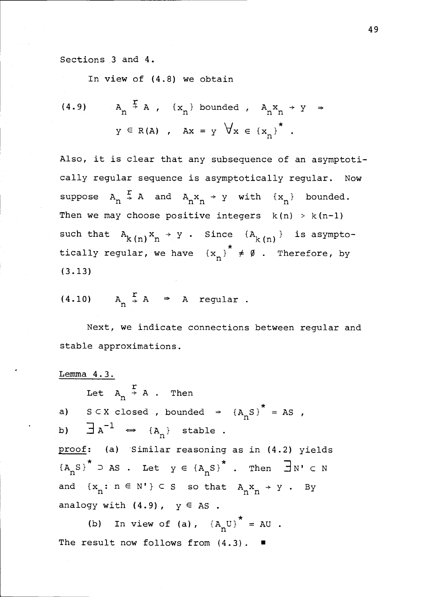Sections 3 and 4.

In view of (4.8) we obtain

(4.9) 
$$
A_n \stackrel{f}{\rightarrow} A
$$
,  $\{x_n\}$  bounded,  $A_n x_n \rightarrow y \rightarrow y \in R(A)$ ,  $Ax = y \forall x \in \{x_n\}^*$ .

Also, it is clear that any subsequence of an asymptotically regular sequence is asymptotically regular. Now suppose  $A_n \stackrel{r}{\rightarrow} A$  and  $A_n x_n \rightarrow y$  with  $\{x_n\}$  bounded. Then we may choose positive integers  $k(n) > k(n-1)$ such that  $A_{k(n)}x_n \rightarrow y$ . Since  ${A_{k(n)}}$  is asymptotically regular, we have  ${x_n}^* \neq \emptyset$ . Therefore, by (3.13)

$$
(4.10) \tAn \stackrel{r}{\rightarrow} A \Rightarrow A \tregular.
$$

Next, we indicate connections between regular and stable approximations.

Lemma 4.3. Let  $A_n \stackrel{\text{r}}{\rightarrow} A$ . Then a)  $S \subset X$  closed, bounded  $\Rightarrow$   $\{A_n S\}^* = AS$ ,  $\exists$  A<sup>-1</sup>  $\iff$  {A<sub>n</sub>} stable. b) proof: (a) Similar reasoning as in (4.2) yields  ${A_nS}^{\star}$  D AS. Let  $y \in {A_nS}^{\star}$ . Then  $\exists N' \in N$ and  $\{x_n: n \in N'\} \subset S$  so that  $A_n x_n \rightarrow Y$ . By analogy with  $(4.9)$ ,  $y \in AS$ .

(b) In view of (a),  ${A_nU}^* = AU$ . The result now follows from  $(4.3)$ .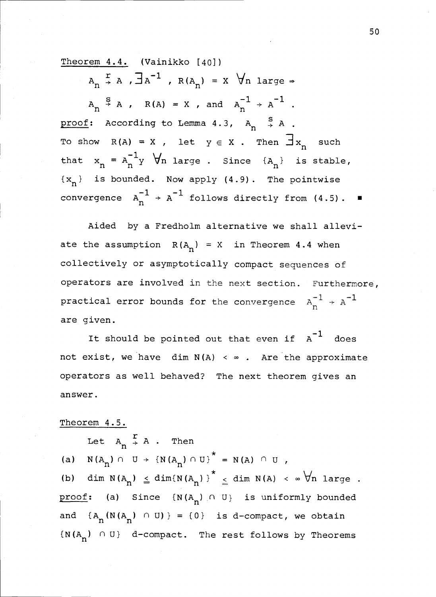Theorem 4.4. (Vainikko [40])

 $A_n \stackrel{r}{\rightarrow} A$ ,  $\exists A^{-1}$ ,  $R(A_n) = X$   $\forall n$  large  $\Rightarrow$  $A_n \stackrel{s}{\rightarrow} A$ ,  $R(A) = X$ , and  $A_n^{-1} \rightarrow A^{-1}$ . proof: According to Lemma 4.3,  $A_n \xrightarrow{S} A$ . To show  $R(A) = X$ , let  $y \in X$ . Then  $\exists x_n$  such that  $x_n = A_n$  y  $\forall n$  large. Since  $\{A_n\}$  is stable,  $\{x_n\}$  is bounded. Now apply  $(4.9)$ . The pointwise convergence  $A_n^{-1}$  +  $A^{-1}$  follows directly from (4.5).  $\blacksquare$ 

Aided by a Fredholm alternative we shall alleviate the assumption  $R(A_n) = X$  in Theorem 4.4 when collectively or asymptotically compact sequences of operators are involved in the next section. Furthermore, practical error bounds for the convergence  $A_n^{-1} \rightarrow A^{-1}$ are given.

It should be pointed out that even if  $A^{-1}$  does not exist, we have  $dim N(A) < \infty$ . Are the approximate operators as well behaved? The next theorem gives an answer.

# Theorem 4.5.

Let  $A_n \stackrel{r}{\rightarrow} A$ . Then (a)  $N(A_n) \cap U \rightarrow \{N(A_n) \cap U\}^* = N(A) \cap U$ , (b) dim  $N(A_n) \leq dim(N(A_n))^{\star} \leq dim N(A) < \infty$   $\forall n$  large. proof: (a) Since  $\{N(A_n) \cap U\}$  is uniformly bounded and  ${A_n(N(A_n) \cap U)} = {0}$  is d-compact, we obtain  ${N(A_n) \cap U}$  d-compact. The rest follows by Theorems

50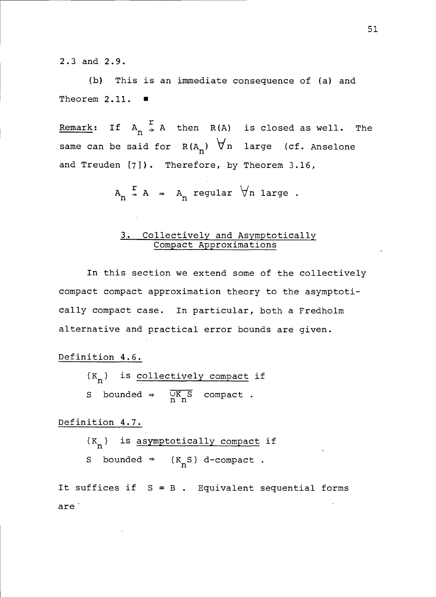2.3 and 2.9.

(b) This is an immediate consequence of (a) and Theorem 2.11.

Remark: If  $A_n \stackrel{r}{\rightarrow} A$  then R(A) is closed as well. The same can be said for  $R(A_n)$   $\forall n$  large (cf. Anselone and Treuden [7]). Therefore, by Theorem 3.16,

 $A_n \div A \rightarrow A_n$  regular  $\forall n$  large.

# 3. Collectively and Asymptotically Compact Approximations

In this section we extend some of the collectively compact compact approximation theory to the asymptotically compact case. In particular, both a Fredholm alternative and practical error bounds are given.

Definition 4.6.  $\{K_n\}$  is <u>collectively compact</u> if S bounded  $\Rightarrow$   $\overline{UK_nS}$  compact.

Definition 4.7.

 $\{K_n\}$  is asymptotically compact if S bounded  $\Rightarrow$  {K<sub>n</sub>S} d-compact.

are It suffices if  $S = B$ . Equivalent sequential forms 51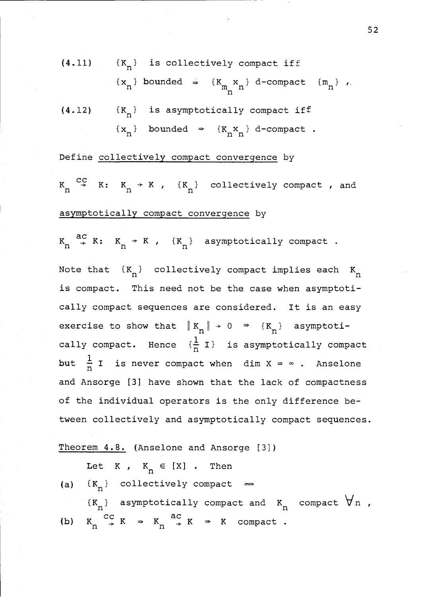(4.11)  $\{K_n\}$  is collectively compact iff (4.12)  $\{x_n\}$  bounded  $\Rightarrow$   $\{K_n x_n\}$  d-comp.<br>n } d-compact  $\{m_n\}$  ,  $\{K_n\}$  is asymptotically compact iff

$$
\{x_n\} \quad \text{bounded} \quad \Rightarrow \quad \{K_n x_n\} \text{ d-compact} \quad .
$$

Define collectively compact convergence by

 $K_n \stackrel{CC}{\rightarrow} K: K_n \rightarrow K$ ,  $\{K_n\}$  collectively compact, and asymptotically compact convergence by

 $K_n \stackrel{ac}{\rightarrow} K: K_n \stackrel{}{\rightarrow} K$ ,  $\{K_n\}$  asymptotically compact.

Note that  $\{K_n\}$  collectively compact implies each  $K_n$ is compact. This need not be the case when asymptotically compact sequences are considered. It is an easy exercise to show that  $\|K_n\| \rightarrow 0$   $\Rightarrow$   $\{K_n\}$  asymptotically compact. Hence  $\{\frac{1}{n} I\}$  is asymptotically compact but  $\frac{1}{n}$  I is never compact when dim X =  $\infty$ . Anselone and Ansorge [3] have shown that the lack of compactness of the individual operators is the only difference between collectively and asymptotically compact sequences.

Theorem 4.8. (Anselone and Ansorge [3])

Let K,  $K_n \in [X]$  . Then (a)  $\{K_n\}$  collectively compact  $\Leftrightarrow$  $\{K_n\}$  asymptotically compact and  $K_n$  compact  $\forall n$ , (b)  $K_n \xrightarrow{CC} K \Rightarrow K_n \xrightarrow{ac} K \Rightarrow K \text{ compact.}$ 

52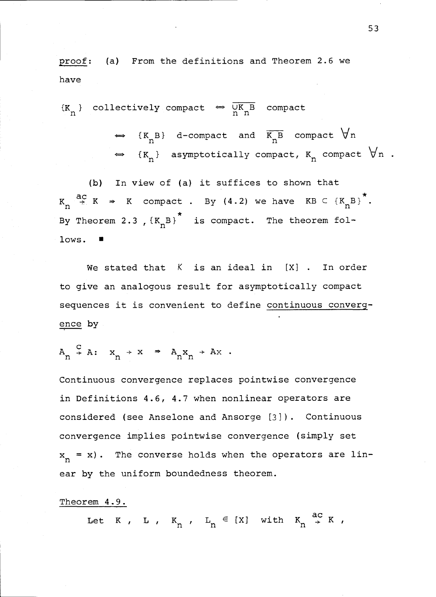proof: (a) From the definitions and Theorem 2.6 we have

 $\{K_n\}$  collectively compact  $\Leftrightarrow \frac{\overline{UK_n}}{\overline{n} n}$  compact

 $\iff$  {K<sub>n</sub>B} d-compact and  $\overline{K_n B}$  compact  $\forall n$  $\iff$  {K<sub>n</sub>} asymptotically compact, K<sub>n</sub> compact  $\forall$ n .

(b) In view of (a) it suffices to shown that  $K_n \stackrel{ac}{\rightarrow} K \Rightarrow K$  compact . By (4.2) we have  $KB \subseteq {K_nB}^*$ . By Theorem 2.3 ,  $\{K_nB\}^*$  is compact. The theorem follows.

We stated that  $K$  is an ideal in  $[X]$  . In order to give an analogous result for asymptotically compact sequences it is convenient to define continuous convergence by

$$
A_n \stackrel{C}{\rightarrow} A: x_n \rightarrow x \Rightarrow A_n x_n \rightarrow Ax.
$$

Continuous convergence replaces pointwise convergence in Definitions 4.6, 4.7 when nonlinear operators are considered (see Anselone and Ansorge [31). Continuous convergence implies pointwise convergence (simply set  $\mathbf{x}_{\mathbf{n}} = \mathbf{x}$ ). The converse holds when the operators are linear by the uniform boundedness theorem.

### Theorem 4.9.

Let K, L,  $K_n$ ,  $L_n \in [X]$  with  $K_n \stackrel{ac}{\rightarrow} K$ ,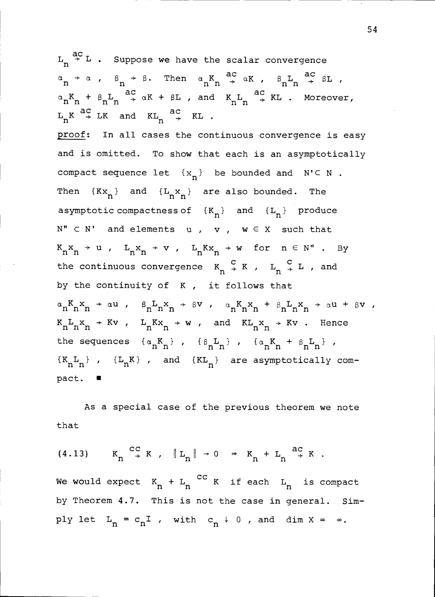ac<br>Tan  $L_n \stackrel{\sim}{\rightarrow} L$  . Suppose we have the scalar convergence  $\alpha$   $\rightarrow$   $\alpha$  ,  $\beta$   $\rightarrow$   $\beta$ . Then  $\alpha$ <sub>n</sub>  $K$   $\rightarrow$   $\alpha$   $K$ ac $\frac{1}{\alpha}$  $\alpha K$  ,  $\beta_n L_n \stackrel{ac}{\rightarrow} \beta L$  ,  $\alpha_n K_n$  +  $\beta_n L_n \stackrel{ac}{\rightarrow} \alpha K$  +  $\beta L$  , and  $K_n L_n \stackrel{ac}{\rightarrow} K L$  . Moreover,  $L_n K \stackrel{ac}{\rightarrow} LK$  and  $KL_n \stackrel{ac}{\rightarrow} KL$ . proof: In all cases the continuous convergence is easy and is omitted. To show that each is an asymptotically compact sequence let  $\{x_n\}$  be bounded and  $N' \subseteq N$ . Then  $\{Kx_n\}$  and  $\{L_n x_n\}$  are also bounded. The asymptotic compactness of  ${K_n}$  and  ${L_n}$  produce  $N'' \subset N'$  and elements u, v,  $w \in X$  such that  $K_n x_n \rightarrow u$ ,  $L_n x_n \rightarrow v$ ,  $L_n K x_n \rightarrow w$  for  $n \in N$ ". By the continuous convergence  $K_n \stackrel{\sim}{\rightarrow} K$  ,  $L_n \stackrel{\sim}{\rightarrow} L$  , and by the continuity of K , it follows that  $\alpha_n K_n x_n \rightarrow \alpha u$ ,  $\beta_n L_n x_n \rightarrow \beta v$ ,  $\alpha_n K_n x_n + \beta_n L_n x_n \rightarrow \alpha u + \beta v$ ,  $K_nL_nx + Kv$ ,  $L_nKx_n + w$ , and  $KL_nx + Kv$ . Hence the sequences  $\{\alpha_n K_n\}$ ,  $\{\beta_n L_n\}$ ,  $\{\alpha_n K_n + \beta_n L_n\}$ ,  $\{K_nL_n\}$  ,  $\{L_nK\}$  , and  $\{KL_n\}$  are asymptotically compact.  $\blacksquare$ 

As a special case of the previous theorem we note that

$$
(4.13) \tK_n \stackrel{cc}{\rightarrow} K, \|L_n\| \rightarrow 0 \Rightarrow K_n + L_n \stackrel{ac}{\rightarrow} K.
$$

We would expect  $K_n + L_n$  <sup>CC</sup> K if each  $L_n$  is compact by Theorem 4.7. This is not the case in general. Simply let  $L_n = c_n I$ , with  $c_n \downarrow 0$ , and dim  $X = \infty$ .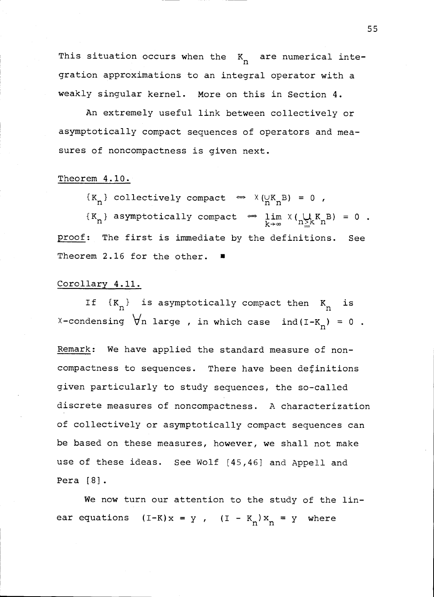This situation occurs when the  $\begin{smallmatrix} \mathbf{K} & \mathbf{a} \end{smallmatrix}$  are numerical integration approximations to an integral operator with a weakly singular kernel. More on this in Section 4.

An extremely useful link between collectively or asymptotically compact sequences of operators and measures of noncompactness is given next.

### Theorem 4.10.

 $\{K_n\}$  collectively compact  $\iff$   $X(\n\vee_{n=1}^{N} K_n B) = 0$ ,

 $\{K_n\}$  asymptotically compact  $\Leftrightarrow$   $\lim_{k\to\infty} \chi(\bigcup_{n\geq k} K_n B) = 0$ . proof: The first is immediate by the definitions. See Theorem 2.16 for the other.

### Corollary 4.11.

If  $\{K_n\}$  is asymptotically compact then  $K_n$  is X-condensing  $\forall$ n large, in which case ind(I-K<sub>n</sub>) = 0.

Remark: We have applied the standard measure of noncompactness to sequences. There have been definitions given particularly to study sequences, the so-called discrete measures of noncompactness. A characterization of collectively or asymptotically compact sequences can be based on these measures, however, we shall not make use of these ideas. See Wolf [45,46] and Appell and Pera [8].

We now turn our attention to the study of the linear equations  $(I-K)x = y$ ,  $(I - K_n)x_n = y$  where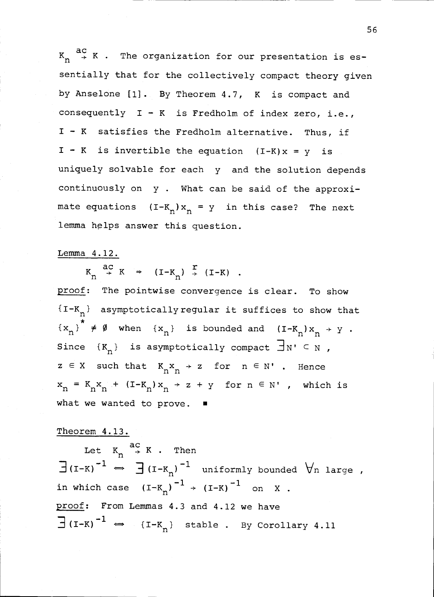$K_{n} \stackrel{ac}{\rightarrow} K$  . The organization for our presentation is essentially that for the collectively compact theory given by Anselone [1]. By Theorem 4.7, K is compact and consequently  $I - K$  is Fredholm of index zero, i.e., I - K satisfies the Fredholm alternative. Thus, if  $I - K$  is invertible the equation  $(I-K)x = y$  is uniquely solvable for each y and the solution depends continuously on y . What can be said of the approximate equations  $(I-K_n)x_n = y$  in this case? The next lemma helps answer this question.

# Lemma 4.12.

 $K_n \stackrel{ac}{\rightarrow} K \Rightarrow (I-K_n) \stackrel{r}{\rightarrow} (I-K) .$ 

proof: The pointwise convergence is clear. To show  ${I-K}_{n}$  asymptotically regular it suffices to show that  ${x_n}^* \neq \emptyset$  when  ${x_n}$  is bounded and  $(I-K_n)x_n \rightarrow y$ . Since  $\{K_n\}$  is asymptotically compact  $\exists N' \subseteq N$ ,  $z \in X$  such that  $K_n x_n \rightarrow z$  for  $n \in N'$ . Hence  $x_n = K_n x_n + (I - K_n)x_n + z + y$  for  $n \in N'$ , which is what we wanted to prove.  $\blacksquare$ 

# Theorem 4.13.

Let  $K_n \stackrel{d>1}{\rightarrow} K$ . Then  $\exists$ (I-K)<sup>-1</sup>  $\Rightarrow$   $\exists$ (I-K<sub>n</sub>)<sup>-1</sup> uniformly bounded  $\forall$ n large, in which case  $(I-K_n)^{-1}$  +  $(I-K)^{-1}$  on X. proof: From Lemmas 4.3 and 4.12 we have  $\exists$  (I-K)<sup>-1</sup>  $\leftrightarrow$  {I-K<sub>n</sub>} stable . By Corollary 4.11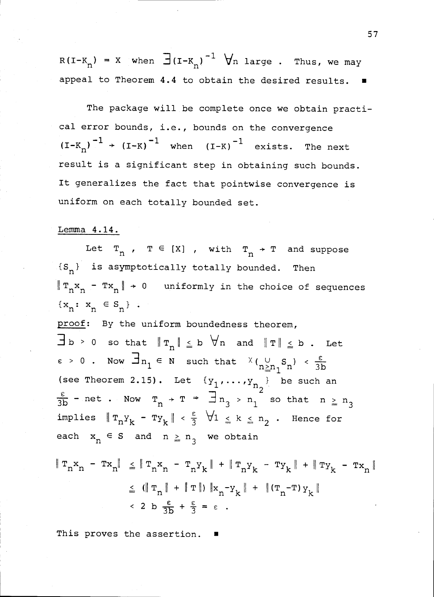$R(I-K_n) = X$  when  $\exists (I-K_n)^{-1}$   $\forall n$  large . Thus, we may appeal to Theorem 4.4 to obtain the desired results.

The package will be complete once we obtain practical error bounds, i.e., bounds on the convergence  $(I-K_n)^{-1}$  +  $(I-K)^{-1}$  when  $(I-K)^{-1}$  exists. The next result is a significant step in obtaining such bounds. It generalizes the fact that pointwise convergence is uniform on each totally bounded set.

### Lemma 4.14.

Let  $T_n$  ,  $T \in [X]$  , with  $T_n \rightarrow T$  and suppose  $f(S_n)$  is asymptotically totally bounded. Then  $\|\mathbf{T}_n\mathbf{x}_n - \mathbf{T}\mathbf{x}_n\| \to 0$  uniformly in the choice of sequences  ${x_n: x_n \in S_n}$  . proof: By the uniform boundedness theorem,  $\exists b > 0$  so that  $||r_n|| \le b \quad \forall n$  and  $||r|| \le b$ . Let  $\varepsilon > 0$ . Now  $\exists n_1 \in N$  such that  $\chi_{(n_1 \leq n_1 S_n)}^{\vee} < \frac{\varepsilon}{3b}$ (see Theorem 2.15). Let  $\{y_1, \ldots, y_{n_2}\}\)$  be such an - net . Now  $T_n$   $\rightarrow$   $T$   $\Rightarrow$   $\frac{1}{2}$   $n_3$   $\rightarrow$   $n_1$  so that  $n \ge n_3$ implies  $\|\mathbb{T}_n Y_k - \mathbb{T} y_k\| < \frac{\epsilon}{3}$   $\forall 1 \le k \le n_2$ . Hence for each  $x_n \in S$  and  $n \geq n_3$  we obtain  $\|\, \texttt{T}_n \texttt{x}_n \; - \; \texttt{T} \texttt{x}_n \| \;\; \leq \; \|\, \texttt{T}_n \texttt{x}_n \; - \; \texttt{T}_n \texttt{y}_k \; \| \; + \; \|\, \texttt{T}_n \texttt{y}_k \; - \; \texttt{T} \texttt{y}_k \; \| \; + \; \|\, \texttt{T} \texttt{y}_k \; - \; \texttt{T} \texttt{x}_n \; \|$  $1 \leq (||T_n|| + ||T||) ||x_n-y_k|| + ||(T_n-T)y_k||$  $\leq$  2 b  $\frac{\varepsilon}{3b} + \frac{\varepsilon}{3} = \varepsilon$ .

This proves the assertion.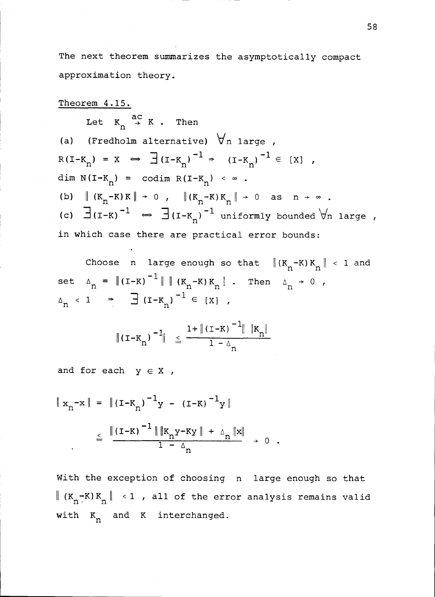The next theorem summarizes the asymptotically compact approximation theory.

Theorem 4.15. Let  $K_n \stackrel{ac}{\rightarrow} K$ . Then (a) (Fredholm alternative)  $\forall$ n large,  $R(I-K_n) = X \Leftrightarrow \exists (I-K_n)^{-1} \Rightarrow (I-K_n)^{-1} \in [X]$ dim  $N(I-K_{n}) = \text{codim } R(I-K_{n}) < \infty$ . (b)  $\|(K_n - K)K\| \to 0$ ,  $\|(K_n - K)K_n\| \to 0$  as  $n \to \infty$ . (c)  $\exists$ (I-K)<sup>-1</sup>  $\Leftrightarrow$   $\exists$ (I-K<sub>n</sub>)<sup>-1</sup> uniformly bounded  $\forall$ n large, in which case there are practical error bounds:

Choose n large enough so that  $\|(K_n - K)K_n\| < 1$  and set  $\Delta_n = ||(I-K)^{-1}|| ||(K_n-K)K_n||$ . Then  $\Delta_n \to 0$ ,  $\Delta_n$  < 1  $\Rightarrow$   $\exists$  (I-K<sub>n</sub>)<sup>-1</sup>  $\in$  [X],

$$
\|(\mathbf{I} - \mathbf{K}_{n})^{-1}\| \leq \frac{1 + \|(\mathbf{I} - \mathbf{K})^{-1}\| \|\mathbf{K}_{n}\|}{1 - \Delta_{n}}
$$

and for each  $y \in X$ ,

$$
\|x_{n}^{-x}\| = \| (I - K_{n})^{-1} y - (I - K)^{-1} y \|
$$
  

$$
\leq \frac{\|(I - K)^{-1}\| \|K_{n} y - Ky\| + \Delta_{n} \|x\|}{1 - \Delta_{n}} \to 0 .
$$

With the exception of choosing n large enough so that  $\|$  (K<sub>n</sub>-K)K<sub>n</sub> $\|$  < 1 , all of the error analysis remains valid with  $K_n$  and  $K$  interchanged.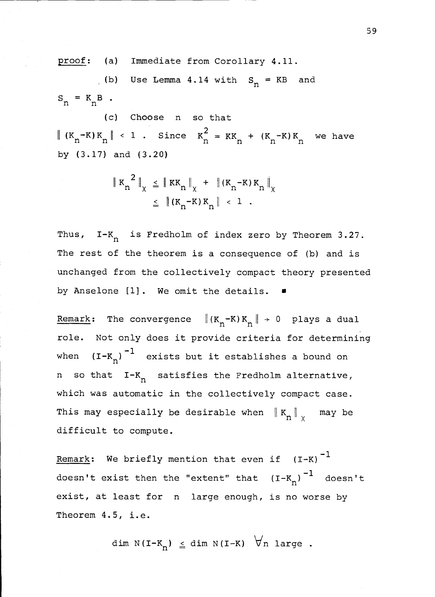proof: (a) Immediate from Corollary 4.11.

(b) Use Lemma 4.14 with  $S_n = KB$  and  $S_n = K_n B$ .

 $(c)$ Choose n so that  $(K_n-K)K_n \parallel \langle 1 \rangle$ . Since  $K_n = KK_n + (K_n-K)K_n$  we have by (3.17) and (3.20)

$$
\| K_n^2 \|_{\chi} \leq \| K K_n \|_{\chi} + \| (K_n - K) K_n \|_{\chi}
$$
  

$$
\leq \| (K_n - K) K_n \| < 1.
$$

Thus,  $I-K_n$  is Fredholm of index zero by Theorem 3.27. The rest of the theorem is a consequence of (b) and is unchanged from the collectively compact theory presented by Anselone [1]. We omit the details.

Remark: The convergence  $\|(K_n-K)K_n\| \to 0$  plays a dual role. Not only does it provide criteria for determining when  $(I-K_n)^{-1}$  exists but it establishes a bound on n so that I-K<sub>n</sub> satisfies the Fredholm alternative, which was automatic in the collectively compact case. This may especially be desirable when  $\left\| \ \mathtt{K}_{{}_{\mathbf{D}}} \right\|_{\chi}$  - may be difficult to compute.

Remark: We briefly mention that even if  $(I-K)^{-1}$ doesn't exist then the "extent" that  $(I-K_n)^{-1}$  doesn't exist, at least for n large enough, is no worse by Theorem 4.5, i.e.

dim N(I-K<sub>n</sub>)  $\leq$  dim N(I-K)  $\forall$ n large.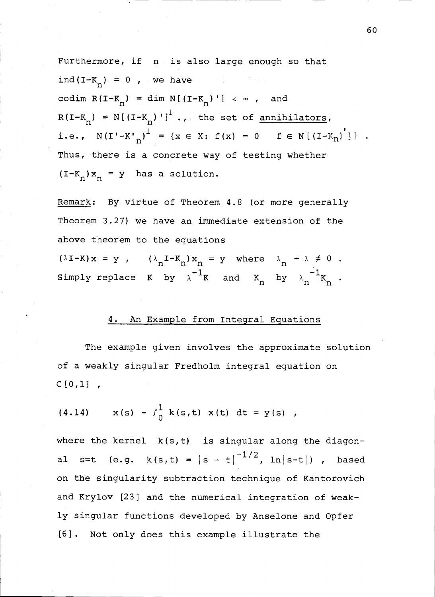Furthermore, if n is also large enough so that ind(I- $K_n$ ) = 0, we have codim  $R(I-K_n) = \dim N[(I-K_n)'] < \infty$ , and  $R(I-K_n) = N[(I-K_n)]^1$ ., the set of <u>annihilators</u>, i.e.,  $N(I' - K'_{n})^{\perp} = \{x \in X: f(x) = 0 \text{ } f \in N[(I - K_{n})^{\prime}]\}$ . Thus, there is a concrete way of testing whether  $(T-K_n)x_n = y$  has a solution.

Remark: By virtue of Theorem 4.8 (or more generally Theorem 3.27) we have an immediate extension of the above theorem to the equations

 $(\lambda I - K) x = y$ ,  $(\lambda_n I - K_n) x_n = y$  where  $\lambda_n \rightarrow \lambda \neq 0$ . Simply replace K by  $\lambda^{-1}$ K and K<sub>n</sub> by  $\lambda_n^{-1}$ K<sub>n</sub>.

# 4. An Example from Integral Equations

The example given involves the approximate solution of a weakly singular Fredholm integral equation on  $C[0,1]$ ,

(4.14) 
$$
x(s) - \int_0^1 k(s,t) x(t) dt = y(s)
$$
,

where the kernel  $k(s,t)$  is singular along the diagonal s=t (e.g.  $k(s,t) = |s - t|^{-1/2}$ , ln|s-t|), based on the singularity subtraction technique of Kantorovich and Krylov [23] and the numerical integration of weakly singular functions developed by Anselone and Opfer [6]. Not only does this example illustrate the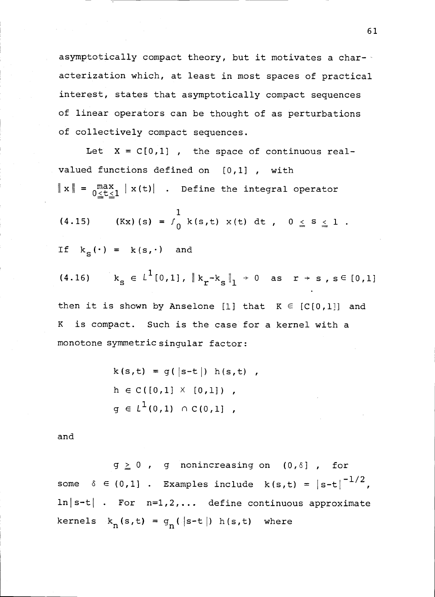asymptotically compact theory, but it motivates a char- acterization which, at least in most spaces of practical interest, states that asymptotically compact sequences of linear operators can be thought of as perturbations of collectively compact sequences.

Let  $X = C[0,1]$  , the space of continuous realvalued functions defined on [0,1] , with  $\|x\| = \max_{0 \le t \le 1} |x(t)|$  . Define the integral operator

(4.15) (Kx) (s) = 
$$
\int_0^1 k(s,t) x(t) dt
$$
,  $0 \le s \le 1$ .

$$
\text{If } k_{\mathbf{S}}(\cdot) = k(\mathbf{s}, \cdot) \quad \text{and}
$$

(4.16) 
$$
k_{s} \in L^{1}[0,1], \|k_{r}-k_{s}\|_{1} \to 0 \text{ as } r \to s, s \in [0,1]
$$

then it is shown by Anselone [1] that  $K \in [C[0,1]]$  and K is compact. Such is the case for a kernel with a monotone symmetric singular factor:

$$
k(s,t) = g(|s-t|) h(s,t) ,
$$
  
\n
$$
h \in C([0,1] \times [0,1]) ,
$$
  
\n
$$
g \in L^{1}(0,1) \cap C(0,1] ,
$$

and

 $g \ge 0$  , g nonincreasing on  $(0, \delta)$  , for some  $\delta \in (0,1]$  . Examples include  $k(s,t) = |s-t|^{-1/2}$ ,  $\ln|\mathbf{s-t}|$  . For  $\mathbf{n=1,2,...}$  define continuous approximate kernels  $k_n(s,t) = g_n(|s-t|) h(s,t)$  where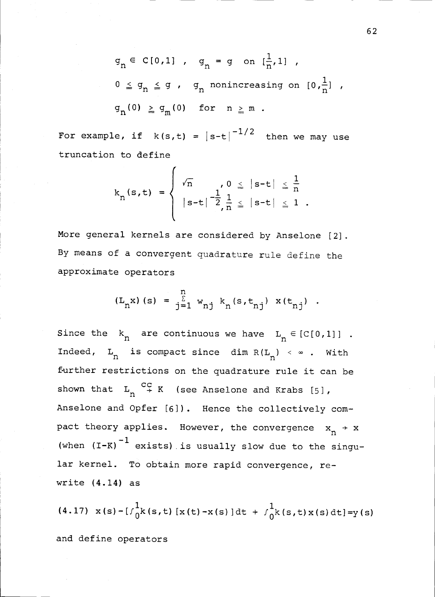$q_n \in C[0,1]$ ,  $q_n = g$  on  $[\frac{1}{n},1]$ ,  $0 \leq g_n \leq g$ ,  $g_n$  nonincreasing on  $[0, \frac{1}{n}]$ ,  $g_n(0) \ge g_m(0)$  for  $n \ge m$ .

For example, if  $k(s,t) = |s-t|^{-1/2}$  then we may use truncation to define

$$
k_{n}(s,t) = \begin{cases} \sqrt{n} & 0 \leq |s-t| \leq \frac{1}{n} \\ |s-t|^{-\frac{1}{2}} \frac{1}{n} \leq |s-t| \leq 1. \end{cases}
$$

More general kernels are considered by Anselone [2]. By means of a convergent guadrature rule define the approximate operators

$$
(L_n x) (s) = \sum_{j=1}^{n} w_{nj} k_n (s, t_{nj}) x (t_{nj})
$$
.

Since the  $k_n$  are continuous we have  $L_n \in [C[0,1]]$  . Indeed,  $L_n$  is compact since dim  $R(L_n) < \infty$ . With further restrictions on the quadrature rule it can be shown that  $L_n \stackrel{CC}{\rightarrow} K$  (see Anselone and Krabs [5], Anselone and Opfer [6]). Hence the collectively compact theory applies. However, the convergence  $x_n \rightarrow x$ (when  $(I-K)^{-1}$  exists) is usually slow due to the singular kernel. To obtain more rapid convergence, rewrite (4.14) as

(4.17)  $x(s)-[f_0^1k(s,t)[x(t)-x(s)]dt + f_0^1k(s,t)x(s)dt]=y(s)$ and define operators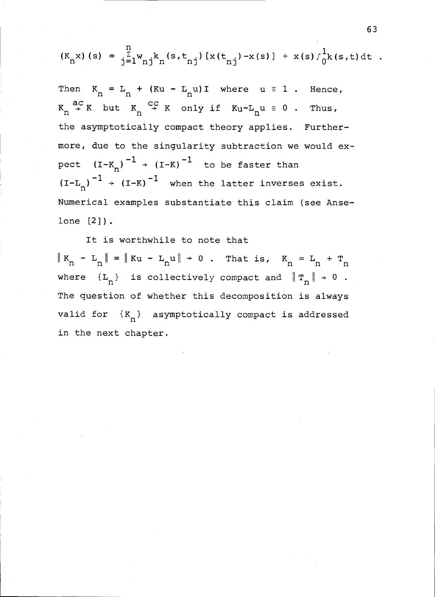$$
(K_n x) (s) = \frac{n}{j} \sum_{j=1}^{n} w_{nj} k_n (s, t_{nj}) [x(t_{nj}) - x(s)] + x(s) \int_0^1 k(s, t) dt
$$

Then  $K_n = L_n + (Ku - L_nu)I$  where  $u \equiv 1$ . Hence,  $K_n \stackrel{ac}{\rightarrow} K$  but  $K_n \stackrel{cc}{\rightarrow} K$  only if  $Ku-L_nu = 0$ . Thus, the asymptotically compact theory applies. Furthermore, due to the singularity subtraction we would ex pect  $(I-K_n)^{-1}$  +  $(I-K)^{-1}$  to be faster than  $^{-1}$   $(\tau_{-}v)^{-1}$   $\tau_{\text{hom}}$  $(I-L_n)^{-1}$  +  $(I-K)^{-1}$  when the latter inverses exist. Numerical examples substantiate this claim (see Anselone [2]).

It is worthwhile to note that  $K_n - L_n = ||Ku - L_n u|| + 0$ . That is,  $K_n = L_n + T_n$ where  $\{L_n\}$  is collectively compact and  $\|T_n\| \to 0$  . The question of whether this decomposition is always valid for  $\{K_n\}$  asymptotically compact is addressed in the next chapter.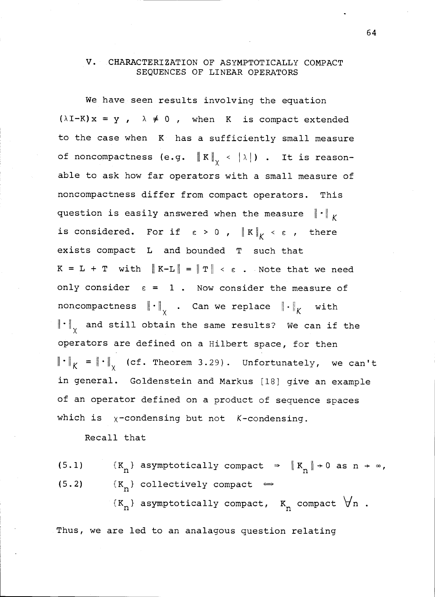### V. CHARACTERIZATION OF ASYMPTOTICALLY COMPACT SEQUENCES OF LINEAR OPERATORS

We have seen results involving the equation  $(\lambda I-K)x = y$ ,  $\lambda \neq 0$ , when K is compact extended to the case when K has a sufficiently small measure of noncompactness (e.g.  $\|K\|_{\sqrt{2}} < |\lambda|$ ) . It is reasonable to ask how far operators with a small measure of noncompactness differ from compact operators. This question is easily answered when the measure  $\|\cdot\|_K$ is considered. For if  $\epsilon > 0$  ,  $\| K \|_K < \epsilon$  , there exists compact L and bounded T such that  $K = L + T$  with  $\|K-L\| = \|T\| < \varepsilon$ . Note that we need only consider  $\varepsilon = 1$ . Now consider the measure of noncompactness  $\left\| \cdot \right\|_{\chi}$  . Can we replace  $\left\| \cdot \right\|_{\mathcal{K}}$  with  $\left\| \cdot \right\|_{\chi}$  and still obtain the same results? We can if the operators are defined on a Hilbert space, for then  $\left\| \cdot \right\|_K = \left\| \cdot \right\|_{\gamma}$  (cf. Theorem 3.29). Unfortunately, we can't in general. Goldenstein and Markus [18] give an example of an operator defined on a product of sequence spaces which is  $\chi$ -condensing but not K-condensing.

Recall that

(5.1)  $\{K_n\}$  asymptotically compact  $\Rightarrow$   $\|K_n\| \to 0$  as  $n \to \infty$ , (5.2)  ${K_n}$  collectively compact  $\Leftrightarrow$  ${K_n}$  asymptotically compact,  ${K_n}$  compact  $\forall n$ .

Thus, we are led to an analagous question relating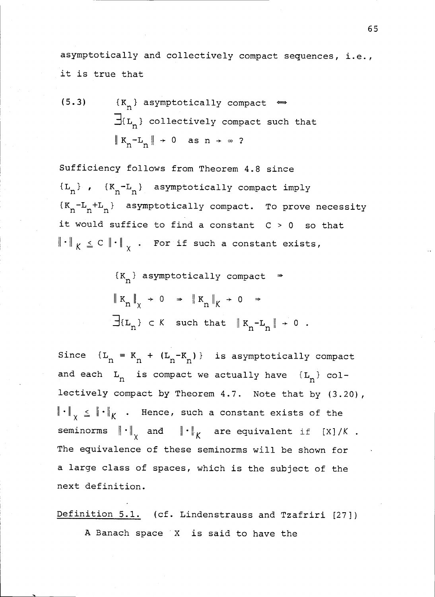asymptotically and collectively compact sequences, i.e., it is true that

(5.3) 
$$
\{K_n\}
$$
 asymptotically compact  $\Leftrightarrow$   
\n $\exists L_n$  collectively compact such that  
\n $\|K_n - L_n\| \to 0$  as  $n \to \infty$ ?

Sufficiency follows from Theorem 4.8 since  ${L_n}$ ,  ${K_n-L_n}$  asymptotically compact imply  ${K_n-L_n+L_n}$  asymptotically compact. To prove necessity it would suffice to find a constant  $C > 0$  so that  $\left\| \;\cdot\;\right\|_{\,\mathsf{K}}\;\leq\;{\mathbb{C}}\;\left\| \;\cdot\;\right\|_{\,\mathsf{X}}$  . For if such a constant exists,

$$
\{K_n\} \text{ asymptotically compact} \Rightarrow
$$
  

$$
\|K_n\|_{\chi} \to 0 \Rightarrow \|K_n\|_{K} \to 0 \Rightarrow
$$
  

$$
\exists \{L_n\} \subset K \text{ such that } \|K_n - L_n\| \to 0.
$$

Since  ${L_n = K_n + (L_n - K_n)}$  is asymptotically compact and each  $L_n$  is compact we actually have  $\{L_n\}$  collectively compact by Theorem 4.7. Note that by (3.20),  $\left\| \cdot \right\|_{_{\operatorname{X}}}$   $\leq$   $\left\| \cdot \right\|_{\operatorname{K}}$  . Hence, such a constant exists of the seminorms  $\left\| \cdot \right\|_{\chi}$  and  $\left\| \cdot \right\|_{K}$  are equivalent if [X]/K . The equivalence of these seminorms will be shown for a large class of spaces, which is the subject of the next definition.

Definition 5.1. (cf. Lindenstrauss and Tzafriri [27]) A Banach space X is said to have the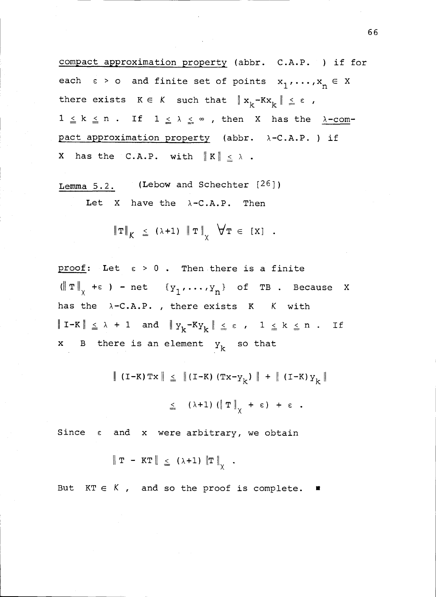compact approximation property (abbr. C.A.P. ) if for each  $\varepsilon > 0$  and finite set of points  $x_1, \ldots, x_n \in X$ there exists  $K \in K$  such that  $\|x_k-Kx_k\| \leq \varepsilon$ ,  $1 \leq k \leq n$  . If  $1 \leq \lambda \leq \infty$  , then X has the  $\lambda$ -compact approximation property (abbr.  $\lambda$ -C.A.P.) if X has the C.A.P. with  $||K|| \leq \lambda$ .

Lemma 5.2. (Lebow and Schechter [26]) Let X have the  $\lambda$ -C.A.P. Then

$$
\|\mathbf{T}\|_{K} \leq (\lambda+1) \|\mathbf{T}\|_{\mathbf{y}} \forall \mathbf{T} \in [X] .
$$

proof: Let  $\varepsilon > 0$ . Then there is a finite  $(\Vert T \Vert_{\chi} + \epsilon)$  - net  $\{Y_1, \ldots, Y_n\}$  of TB. Because X has the  $\lambda$ -C.A.P., there exists K K with  $\|\mathbf{I}-\mathbf{K}\| \leq \lambda + 1$  and  $\|\mathbf{y}_{k}-\mathbf{K}\mathbf{y}_{k}\| \leq \varepsilon$ ,  $1 \leq k \leq n$ . If x B there is an element  $y_k$  so that

| (I-K)Tx  $\| \le \| (I-K) (Tx-y_k) \| + \| (I-K) y_k \|$ 

$$
\leq (\lambda+1) (\Vert T \Vert_{\sqrt{}} + \varepsilon) + \varepsilon .
$$

Since  $\varepsilon$  and x were arbitrary, we obtain

$$
\|\mathbf{T} - \mathbf{KT}\| \leq (\lambda + 1) \|\mathbf{T}\|_{\chi} .
$$

But  $KT \in K$ , and so the proof is complete.  $\blacksquare$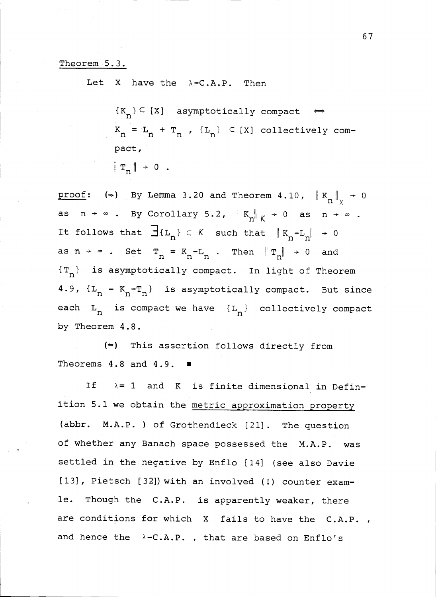## Theorem 5.3.

Let X have the  $\lambda$ -C.A.P. Then

 ${K_n} \subset {X}$  asymptotically compact  $\iff$  $K_n = L_n + T_n$ ,  ${L_n} \subset [X]$  collectively compact,  $\|\mathbf{T}_n\| \rightarrow 0$ .

proof: ( $\Rightarrow$ ) By Lemma 3.20 and Theorem 4.10,  $\|K_n\|_{\nu} \rightarrow 0$ as  $n \to \infty$  . By Corollary 5.2,  $\|K_n\|_K \to 0$  as  $n \to \infty$  . It follows that  $\exists \{L_n\} \subset K$  such that  $\|K_n-L_n\| \to 0$ as  $n \rightarrow \infty$  . Set  $T_n = K_n - L_n$  . Then  $\|T_n\| \rightarrow 0$  and  ${T_n}$  is asymptotically compact. In light of Theorem 4.9,  $\{L_n = K_n - T_n\}$  is asymptotically compact. But since each  $L_n$  is compact we have  ${L_n}$  collectively compact by Theorem 4.8.

 $(\epsilon)$  This assertion follows directly from Theorems 4.8 and 4.9.  $\blacksquare$ 

If  $\lambda = 1$  and K is finite dimensional in Definition 5.1 we obtain the metric approximation property (abbr. M.A.P. ) of Grothendieck [21]. The question of whether any Banach space possessed the M.A.P. was settled in the negative by Enflo [14] (see also Davie [13], Pietsch [32]) with an involved (!) counter examle. Though the C.A.P. is apparently weaker, there are conditions for which X fails to have the C.A.P., and hence the  $\lambda$ -C.A.P., that are based on Enflo's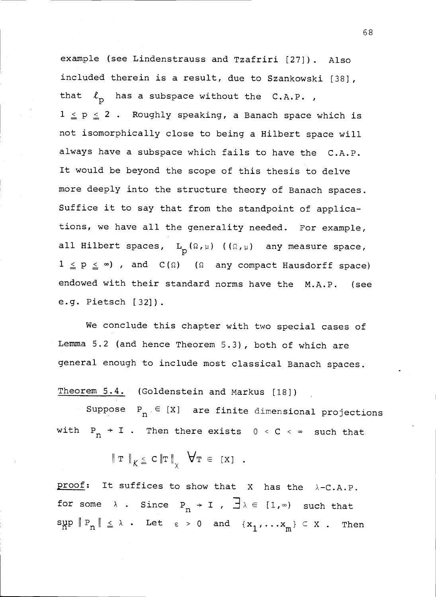example (see Lindenstrauss and Tzafriri [27]). Also included therein is a result, due to Szankowski [38], that  $\ell_n$  has a subspace without the C.A.P.,  $1 \leq p \leq 2$  . Roughly speaking, a Banach space which is not isomorphically close to being a Hilbert space will always have a subspace which fails to have the C.A.P. It would be beyond the scope of this thesis to delve more deeply into the structure theory of Banach spaces. Suffice it to say that from the standpoint of applications, we have all the generality needed. For example, all Hilbert spaces,  $L_n(\Omega,\mu)$  ( $(\Omega,\mu)$  any measure space,  $1 \le p \le \infty$ ), and  $C(\Omega)$  ( $\Omega$  any compact Hausdorff space) endowed with their standard norms have the M.A.P. (see e.g. Pietsch [32]).

We conclude this chapter with two special cases of Lemma 5.2 (and hence Theorem 5.3), both of which are general enough to include most classical Banach spaces.

Theorem 5.4. (Goldenstein and Markus [18])

Suppose  $P_n \in [X]$  are finite dimensional projections with  $P_n \rightarrow I$ . Then there exists  $0 \leq C \leq \infty$  such that

$$
\|\mathbf{T}\|_{K \ \leq\ C\|\mathbf{T}\|_{\chi} \ \forall \mathbf{T} \in [X] .
$$

proof: It suffices to show that  $X$  has the  $\lambda$ -C.A.P. for some  $\lambda$  . Since  $P_n \rightarrow I$  ,  $\exists \lambda \in [1, \infty)$  such that  $\sup_{n \to \infty} \|P_n\| \leq \lambda$ . Let  $\epsilon > 0$  and  $\{x_1, \ldots, x_m\} \subset X$ . Then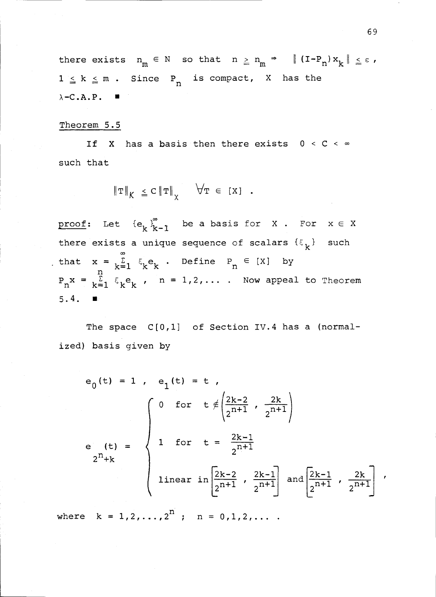there exists  $n_m \in N$  so that  $n \geq n_m \Rightarrow || (I - P_n) x_k || \leq \epsilon$ ,  $1 \leq k \leq m$ . Since P<sub>n</sub> is compact, X has the  $\lambda$ -C.A.P.  $\blacksquare$ 

## Theorem 5.5

If X has a basis then there exists  $0 < C < \infty$ such that

$$
\|\mathbf{T}\|_{K} \leq C \|\mathbf{T}\|_{\chi} \quad \forall \mathbf{T} \in [X] .
$$

proof: Let  ${e_k}_{k-1}^{\infty}$  be a basis for X . For  $x \in X$ there exists a unique sequence of scalars  $\{\xi_k\}$  such that  $x = \sum_{k=1}^{\infty} \xi_k e_k$ . Define  $P_n \in [X]$  by  $P_n x = \sum_{k=1}^n \xi_k e_k$  ,  $n = 1, 2, \ldots$  . Now appeal to Theorem  $5.4.$   $\blacksquare$ 

The space  $C[0,1]$  of Section IV.4 has a (normalized) basis given by

$$
e_{0}(t) = 1, e_{1}(t) = t,
$$
\n
$$
e_{1}(t) = \begin{cases}\n0 & \text{for } t \neq \left(\frac{2k-2}{2n+1}, \frac{2k}{2^{n+1}}\right) \\
1 & \text{for } t = \frac{2k-1}{2^{n+1}} \\
2^{n}+k\n\end{cases}
$$
\n
$$
e_{2}(t) = \begin{cases}\n1 & \text{for } t = \frac{2k-1}{2^{n+1}} \\
1 & \text{if } t = \frac{2k-1}{2^{n+1}} \\
2^{n+1} & \text{if } t = \frac{2k-1}{2^{n+1}}\n\end{cases}
$$
\n
$$
e_{2}(t) = \begin{cases}\n1 & \text{if } t = \frac{2k-1}{2^{n+1}} \\
2^{n+1} & \text{if } t = \frac{2k-1}{2^{n+1}}\n\end{cases}
$$
\n
$$
e_{2}(t) = \begin{cases}\n1 & \text{if } t = \frac{2k-1}{2^{n+1}} \\
2^{n+1} & \text{if } t = \frac{2k-1}{2^{n+1}}\n\end{cases}
$$
\n
$$
e_{2}(t) = \begin{cases}\n1 & \text{if } t = \frac{2k-1}{2^{n+1}} \\
1 & \text{if } t = \frac{2k-1}{2^{n+1}}\n\end{cases}
$$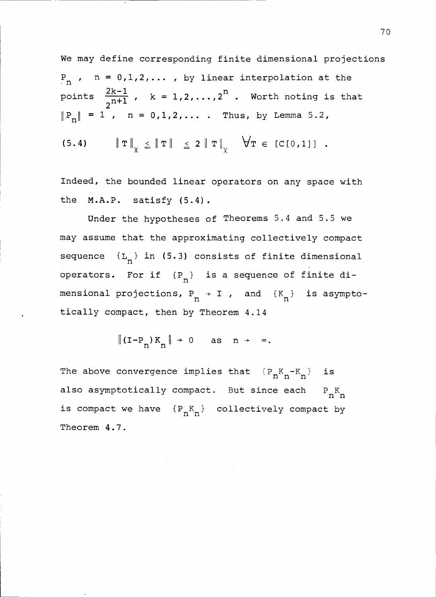We may define corresponding finite dimensional projections  $P_n$ ,  $n = 0,1,2,...$ , by linear interpolation at the points  $\frac{2k-1}{n+1}$ ,  $k = 1,2,...,2^n$ . Worth noting is that  $|P_n| = 1$ ,  $n = 0,1,2,...$  Thus, by Lemma 5.2, (5.4)  $\|\mathbf{T}\|_{\mathbf{Y}} \leq \|\mathbf{T}\| \leq 2 \|\mathbf{T}\|_{\mathbf{Y}} \quad \forall \mathbf{T} \in [C[0,1]]$ .

Indeed, the bounded linear operators on any space with the M.A.P. satisfy (5.4).

Under the hypotheses of Theorems 5.4 and 5.5 we may assume that the approximating collectively compact sequence  ${L_n}$  in (5.3) consists of finite dimensional operators. For if  ${P_n}$  is a sequence of finite dimensional projections,  $P_n \rightarrow I$  , and  ${K_n}$  is asymptotically compact, then by Theorem 4.14

 $\|(I-P_n)K_n\| \to 0$  as  $n \to \infty$ .

The above convergence implies that  $\{P_nK_n-K_n\}$  is also asymptotically compact. But since each  $P_nK_n$ is compact we have  ${P_nK_n}$  collectively compact by Theorem 4.7.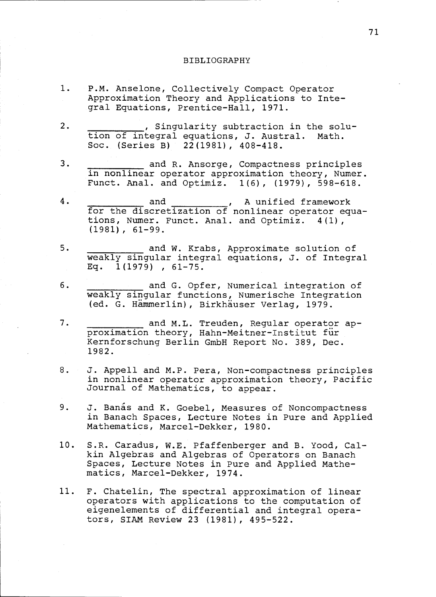## BIBLIOGRAPHY

- $1.$ P.M. Anselone, Collectively Compact Operator Approximation Theory and Applications to Integral Equations, Prentice-Hall, 1971.
- $2.$ , Singularity subtraction in the solution of integral equations, J. Austral. Math. Soc. (Series B) 22(1981), 408-418.
- $3.$ and R. Ansorge, Compactness principles in nonlinear operator approximation theory, Numer. Funct. Anal. and Optimiz. 1(6), (1979), 598-618.
- $4.$ and \_\_\_\_\_\_\_\_\_\_\_\_, A unified framework for the discretization of nonlinear operator equations, Numer. Funct. Anal. and Optimiz. 4(1), (1981), 61-99.
- $5.$ and W. Krabs, Approximate solution of weakly singular integral equations, J. of Integral Eq. 1(1979) , 61-75.
- 6. and G. Opfer, Numerical integration of weakly singular functions, Numerische Integration (ed. G. Hammerlin), Birkhauser Verlag, 1979.
- and M.L. Treuden, Regular operator ap-7. proximation theory, Hahn-Meitner-Institut fur Kernforschung Berlin GmbH Report No. 389, Dec. 1982.
- $8.$ J. Appell and M.P. Pera, Non-compactness principles in nonlinear operator approximation theory, Pacific Journal of Mathematics, to appear.
- 9. J. Banas and K. Goebel, Measures of Noncompactness in Banach Spaces, Lecture Notes in Pure and Applied Mathematics, Marcel-Dekker, 1980.
- 10. S.R. Caradus, W.E. Pfaffenberger and B. Yood, Calkin Algebras and Algebras of Operators on Banach Spaces, Lecture Notes in Pure and Applied Mathematics, Marcel-Dekker, 1974.
- 11. F. Chatelin, The spectral approximation of linear operators with applications to the computation of eigenelements of differential and integral operators, SIAM Review 23 (1981), 495-522.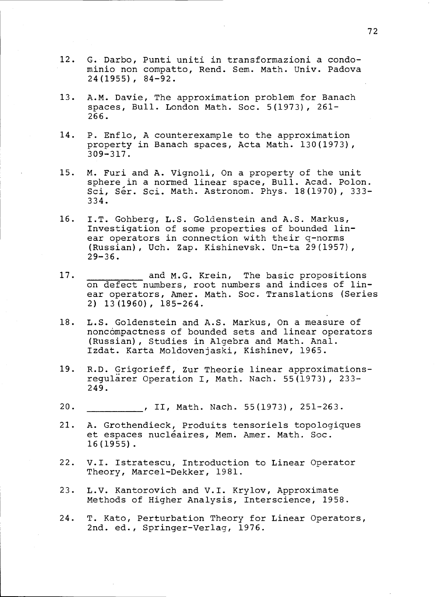- $12.$ G. Darbo, Punti uniti in transformazioni a condominio non compatto, Rend. Sem. Math. Univ. Padova 24(1955), 84-92.
- $13.$ A.M. Davie, The approximation problem for Banach spaces, Bull. London Math. Soc. 5(1973), 261- 266.
- 14. P. Enflo, A counterexample to the approximation property in Banach spaces, Acta Math. 130(1973), 309-317.
- $15.$ M. Furi and A. Vignoli, On a property of the unit sphere in a normed linear space, Bull. Acad. Polon. Sci, Ser. Sci. Math. Astronom. Phys. 18(1970), 333-334.
- 16. I.T. Gohberg, L.S. Goldenstein and A.S. Markus, Investigation of some properties of bounded linear operators in connection with their q-norms (Russian), Uch. Zap. Kishinevsk. Un-ta 29(1957), 29-36.
- 17. and M.G. Krein, The basic propositions on defect numbers, root numbers and indices of linear operators, Amer. Math. Soc. Translations (Series 2) 13(1960), 185-264.
- 18. L.S. Goldenstein and A.S. Markus, On a measure of noncompactness of bounded sets and linear operators (Russian), Studies in Algebra and Math. Anal. Izdat. Karta Moldovenjaski, Kishinev, 1965.
- $19.$ R.D. Grigorieff, Zur Theorie linear approximationsregularer Operation I, Math. Nach. 55(1973), 233- 249.
- $20.$ , II, Math. Nach. 55(1973), 251-263.
- $21.$ A. Grothendieck, Produits tensoriels topologiques et espaces nucléaires, Mem. Amer. Math. Soc. 16(1955).
- $22.$ V.I. Istratescu, Introduction to Linear Operator Theory, Marcel-Dekker, 1981.
- L.V. Kantorovich and V.I. Krylov, Approximate  $23.$ Methods of Higher Analysis, Interscience, 1958.
- 24. T. Kato, Perturbation Theory for Linear Operators, 2nd. ed., Springer-Verlag, 1976.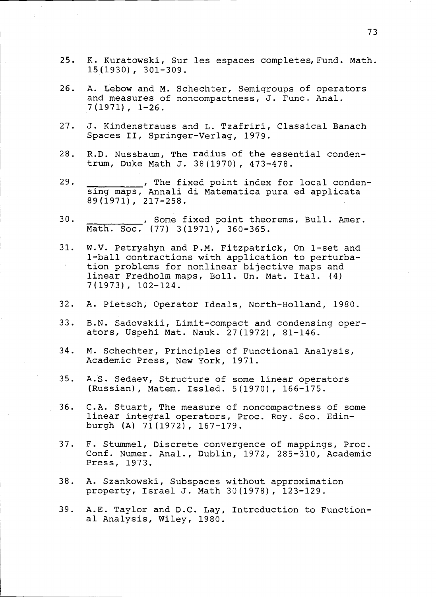- $25.$ K. Kuratowski, Sur les espaces completes, Fund. Math. 15(1930), 301-309.
- $26.$ A. Lebow and M. Schechter, Semigroups of operators and measures of noncompactness, J. Func. Anal. 7(1971), 1-26.
- J. Kindenstrauss and L. Tzafriri, Classical Banach  $27.$ Spaces II, Springer-Verlag, 1979.
- $28.$ R.D. Nussbaum, The radius of the essential condentrum, Duke Math J. 38(1970), 473-478.
- $29.$ ... The fixed point index for local condensing maps, Annali di Matematica pura ed applicata 89(1971), 217-258.
- $30.$ , Some fixed point theorems, Bull. Amer. Math. Soc. (77) 3(1971), 360-365.
- $31.$ W.V. Petryshyn and P.M. Fitzpatrick, On 1-set and 1-ball contractions with application to perturbation problems for nonlinear bijective maps and linear Fredholm maps, Boll. Un. Mat. Ital. (4) 7(1973), 102-124.
- $32.$ A. Pietsch, Operator Ideals, North-Holland, 1980.
- 33. B.N. Sadovskii, Limit-compact and condensing operators, Uspehi Mat. Nauk. 27(1972), 81-146.
- $34.$ M. Schechter, Principles of Functional Analysis, Academic Press, New York, 1971.
- $35.$ A.S. Sedaev, Structure of some linear operators (Russian), Matem. Issled. 5(1970), 166-175.
- $36.$ C.A. Stuart, The measure of noncompactness of some linear integral operators, Proc. Roy. Sco. Edinburgh (A) 71(1972), 167-179.
- F. Stummel, Discrete convergence of mappings, Proc.  $37.$ Conf. Numer. Anal., Dublin, 1972, 285-310, Academic Press, 1973.
- $38.$ A. Szankowski, Subspaces without approximation property, Israel J. Math 30(1978), 123-129.
- $39.$ A.E. Taylor and D.C. Lay, Introduction to Functional Analysis, Wiley, 1980.